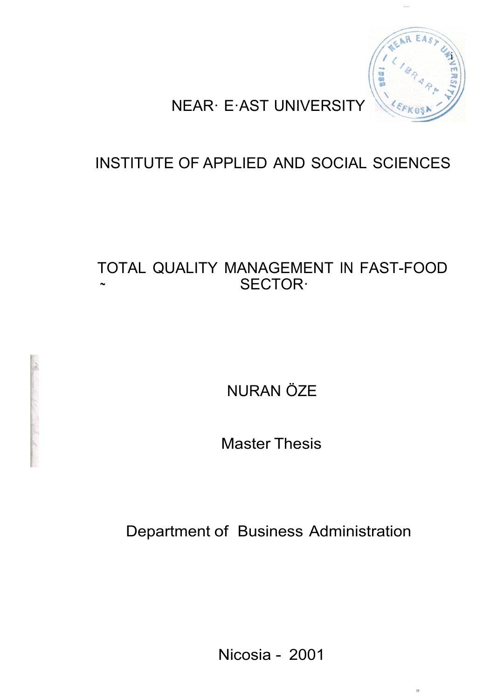

,,

## NEAR· E·AST UNIVERSITY

## INSTITUTE OF APPLIED AND SOCIAL SCIENCES

### TOTAL QUALITY MANAGEMENT IN FAST-FOOD SECTOR·

NURAN ÖZE

Master Thesis

Department of Business Administration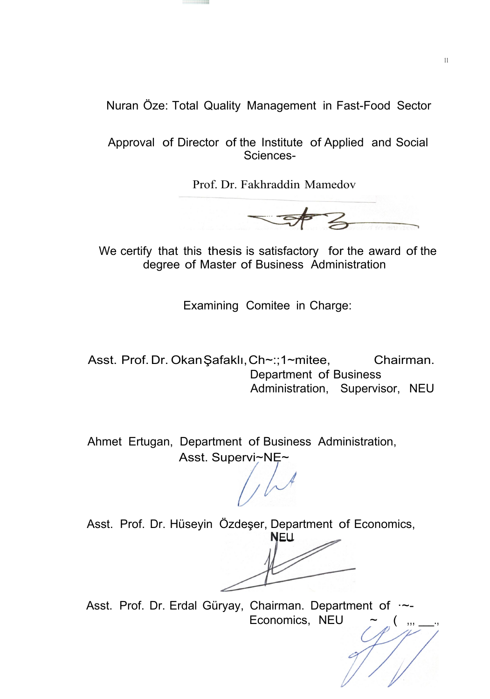Nuran Öze: Total Quality Management in Fast-Food Sector

Approval of Director of the Institute of Applied and Social Sciences-

Prof. Dr. Fakhraddin Mamedov

 $\overline{\mathbf{z}}$ 

We certify that this thesis is satisfactory for the award of the degree of Master of Business Administration

Examining Comitee in Charge:

Asst. Prof. Dr. Okan Şafaklı, Ch~:;1~mitee, Chairman. Department of Business Administration, Supervisor, NEU

Ahmet Ertugan, Department of Business Administration, Asst. Supervi~NE~

 $1/\sqrt{2}$ 

Asst. Prof. Dr. Hüseyin Özdeşer, Department of Economics,

**NEU** 

Asst. Prof. Dr. Erdal Güryay, Chairman. Department of  $\sim$ -Economics, NEU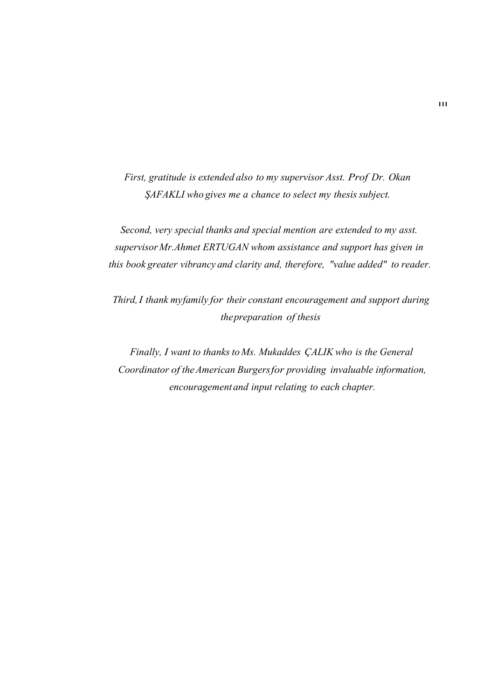*First, gratitude is extended also to my supervisor Asst. Prof Dr. Okan ŞAFAKLI who gives me a chance to select my thesis subject.*

*Second, very special thanks and special mention are extended to my asst. supervisor Mr.Ahmet ERTUGAN whom assistance and support has given in this book greater vibrancy and clarity and, therefore, "value added" to reader.*

*Third,I thank myfamily for their constant encouragement and support during thepreparation of thesis*

*Finally, I want to thanks to Ms. Mukaddes ÇALIK who is the General Coordinator of theAmerican Burgersfor providing invaluable information, encouragementand input relating to each chapter.*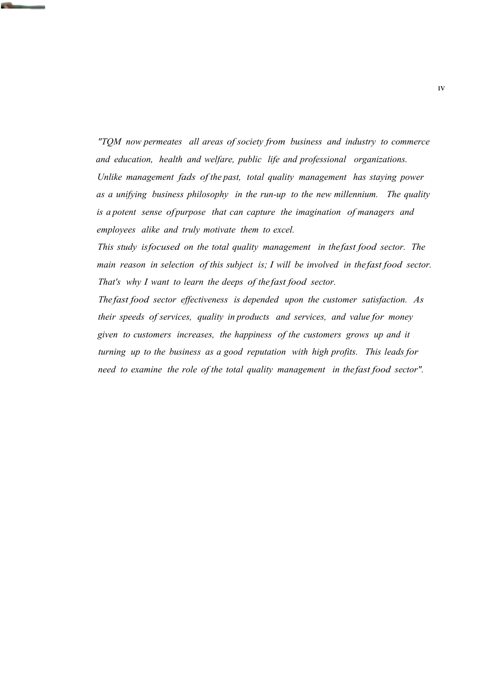*"TQM now permeates all areas of society from business and industry to commerce and education, health and welfare, public life and professional organizations. Unlike management fads of the past, total quality management has staying power as a unifying business philosophy in the run-up to the new millennium. The quality is a potent sense ofpurpose that can capture the imagination of managers and employees alike and truly motivate them to excel.*

*This study isfocused on the total quality management in the fast food sector. The main reason in selection of this subject is; I will be involved in the fast food sector. That's why I want to learn the deeps of the fast food sector.*

*The fast food sector effectiveness is depended upon the customer satisfaction. As their speeds of services, quality in products and services, and value for money given to customers increases, the happiness of the customers grows up and it . turning up to the business as a good reputation with high profits. This leads for need to examine the role of the total quality management in the fast food sector".*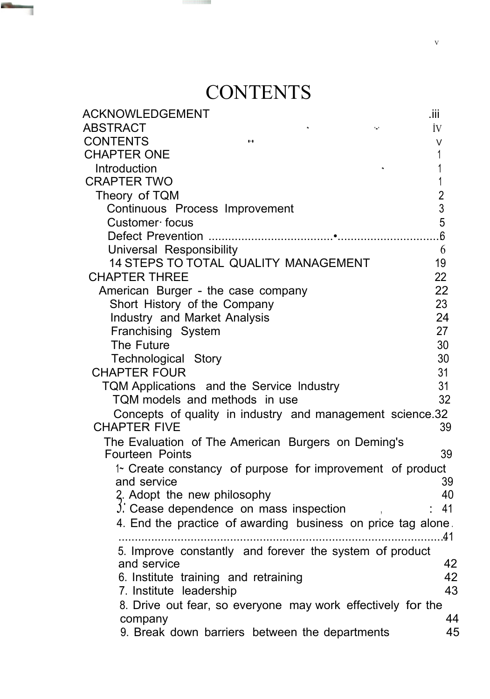# **CONTENTS**

**Common** 

٦

| ACKNOWLEDGEMENT                                                                  | .iii           |
|----------------------------------------------------------------------------------|----------------|
| ABSTRACT<br>۰.,                                                                  | İV             |
| <b>CONTENTS</b><br>$\bullet\cdot\bullet$                                         | V              |
| <b>CHAPTER ONE</b>                                                               |                |
| Introduction                                                                     |                |
| <b>CRAPTER TWO</b>                                                               | 1              |
| Theory of TQM                                                                    | $\overline{2}$ |
| Continuous Process Improvement                                                   | $\overline{3}$ |
| Customer focus                                                                   | 5              |
|                                                                                  | 6              |
| Universal Responsibility                                                         | 6              |
| <b>14 STEPS TO TOTAL QUALITY MANAGEMENT</b>                                      | 19             |
| <b>CHAPTER THREE</b>                                                             | 22             |
| American Burger - the case company                                               | 22             |
| Short History of the Company                                                     | 23             |
| Industry and Market Analysis                                                     | 24             |
| Franchising System                                                               | 27             |
| The Future                                                                       | 30             |
| <b>Technological Story</b>                                                       | 30             |
| <b>CHAPTER FOUR</b>                                                              | 31             |
| TQM Applications and the Service Industry                                        | 31             |
| TQM models and methods in use                                                    | 32             |
| Concepts of quality in industry and management science.32<br><b>CHAPTER FIVE</b> | 39             |
| The Evaluation of The American Burgers on Deming's                               |                |
| <b>Fourteen Points</b>                                                           | 39             |
| 1~ Create constancy of purpose for improvement of product                        |                |
| and service                                                                      | 39             |
| 3. Adopt the new philosophy                                                      | 40             |
| $\beta$ . Cease dependence on mass inspection                                    | 41             |
| 4. End the practice of awarding business on price tag alone.                     |                |
|                                                                                  | .41            |
| 5. Improve constantly and forever the system of product                          |                |
| and service                                                                      | 42             |
| 6. Institute training and retraining                                             | 42             |
| 7. Institute leadership                                                          | 43             |
| 8. Drive out fear, so everyone may work effectively for the                      |                |
| company                                                                          | 44             |
| 9. Break down barriers between the departments                                   | 45             |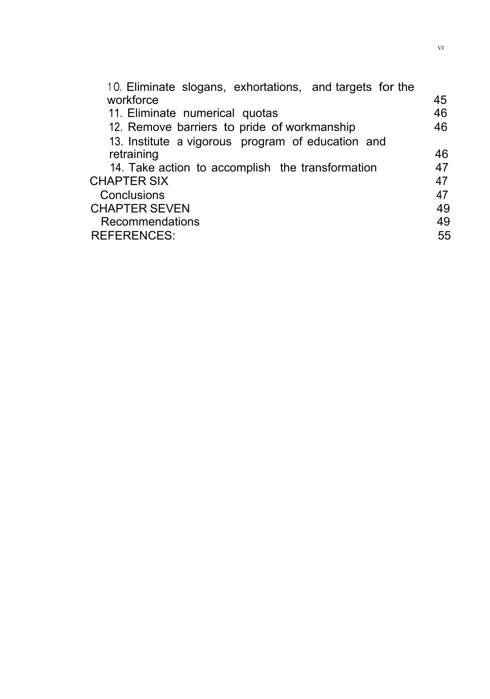| 10. Eliminate slogans, exhortations, and targets for the |    |
|----------------------------------------------------------|----|
| workforce                                                | 45 |
| 11. Eliminate numerical quotas                           | 46 |
| 12. Remove barriers to pride of workmanship              | 46 |
| 13. Institute a vigorous program of education and        |    |
| retraining                                               | 46 |
| 14. Take action to accomplish the transformation         | 47 |
| <b>CHAPTER SIX</b>                                       | 47 |
| Conclusions                                              | 47 |
| <b>CHAPTER SEVEN</b>                                     | 49 |
| <b>Recommendations</b>                                   | 49 |
| <b>REFERENCES:</b>                                       | 55 |
|                                                          |    |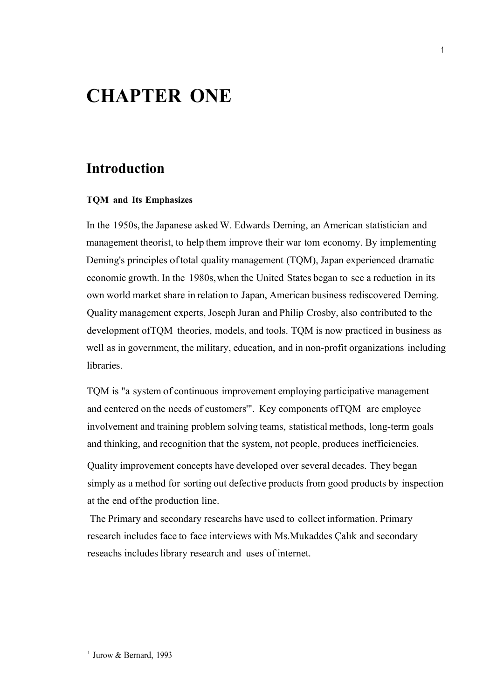## **CHAPTER ONE**

### **Introduction**

#### **TQM and Its Emphasizes**

In the 1950s,the Japanese asked W. Edwards Deming, an American statistician and management theorist, to help them improve their war tom economy. By implementing Deming's principles oftotal quality management (TQM), Japan experienced dramatic economic growth. In the 1980s,when the United States began to see a reduction in its own world market share in relation to Japan, American business rediscovered Deming. Quality management experts, Joseph Juran and Philip Crosby, also contributed to the development ofTQM theories, models, and tools. TQM is now practiced in business as well as in government, the military, education, and in non-profit organizations including libraries.

TQM is "a system of continuous improvement employing participative management and centered on the needs of customers'". Key components ofTQM are employee involvement and training problem solving teams, statistical methods, long-term goals and thinking, and recognition that the system, not people, produces inefficiencies.

Quality improvement concepts have developed over several decades. They began simply as a method for sorting out defective products from good products by inspection at the end ofthe production line.

The Primary and secondary researchs have used to collect information. Primary research includes face to face interviews with Ms.Mukaddes Çalık and secondary reseachs includes library research and uses of internet.

<sup>1</sup> Jurow & Bernard, 1993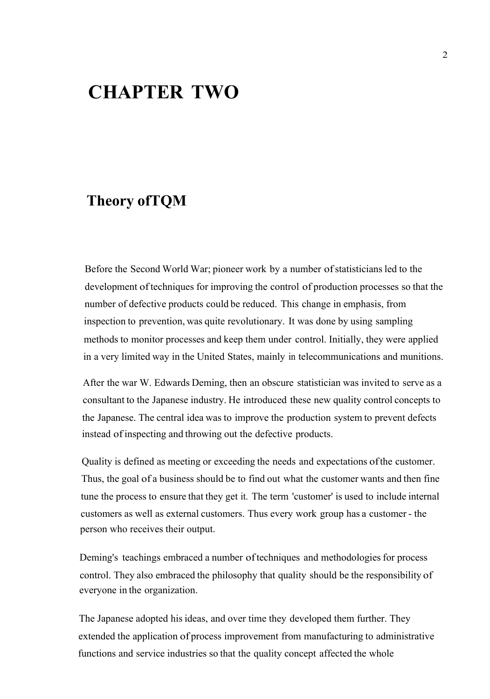## **CHAPTER TWO**

### **Theory ofTQM**

Before the Second World War; pioneer work by a number of statisticians led to the development of techniques for improving the control of production processes so that the number of defective products could be reduced. This change in emphasis, from inspection to prevention, was quite revolutionary. It was done by using sampling methods to monitor processes and keep them under control. Initially, they were applied in a very limited way in the United States, mainly in telecommunications and munitions.

After the war W. Edwards Deming, then an obscure statistician was invited to serve as a consultant to the Japanese industry. He introduced these new quality control concepts to the Japanese. The central idea was to improve the production system to prevent defects instead of inspecting and throwing out the defective products.

Quality is defined as meeting or exceeding the needs and expectations ofthe customer. Thus, the goal of a business should be to find out what the customer wants and then fine tune the process to ensure that they get it. The term 'customer' is used to include internal customers as well as external customers. Thus every work group has a customer - the person who receives their output.

Deming's teachings embraced a number oftechniques and methodologies for process control. They also embraced the philosophy that quality should be the responsibility of everyone in the organization.

The Japanese adopted hisideas, and over time they developed them further. They extended the application of process improvement from manufacturing to administrative functions and service industries so that the quality concept affected the whole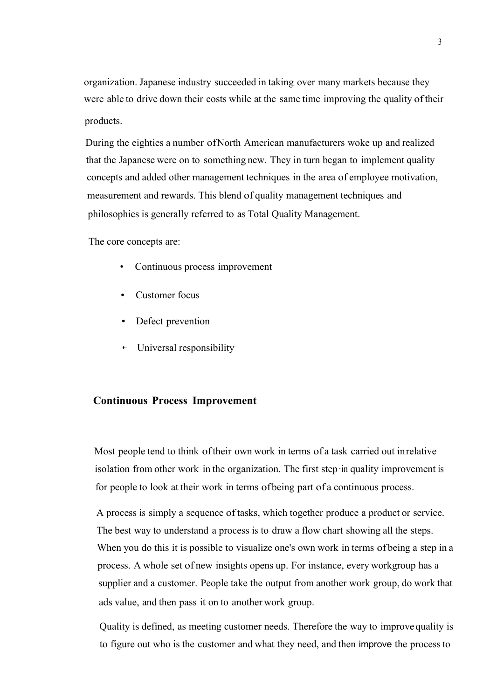organization. Japanese industry succeeded in taking over many markets because they were able to drive down their costs while at the same time improving the quality oftheir products.

During the eighties a number ofNorth American manufacturers woke up and realized that the Japanese were on to something new. They in turn began to implement quality concepts and added other management techniques in the area of employee motivation, measurement and rewards. This blend of quality management techniques and philosophies is generally referred to as Total Quality Management.

The core concepts are:

- Continuous process improvement
- Customer focus
- Defect prevention
- •· Universal responsibility

#### **Continuous Process Improvement**

Most people tend to think oftheir own work in terms of a task carried out inrelative isolation from other work in the organization. The first step·in quality improvement is for people to look at their work in terms ofbeing part of a continuous process.

A process is simply a sequence of tasks, which together produce a product or service. The best way to understand a process is to draw a flow chart showing all the steps. When you do this it is possible to visualize one's own work in terms of being a step in a process. A whole set of new insights opens up. For instance, every workgroup has a supplier and a customer. People take the output from another work group, do work that ads value, and then pass it on to another work group.

Quality is defined, as meeting customer needs. Therefore the way to improve quality is to figure out who is the customer and what they need, and then improve the processto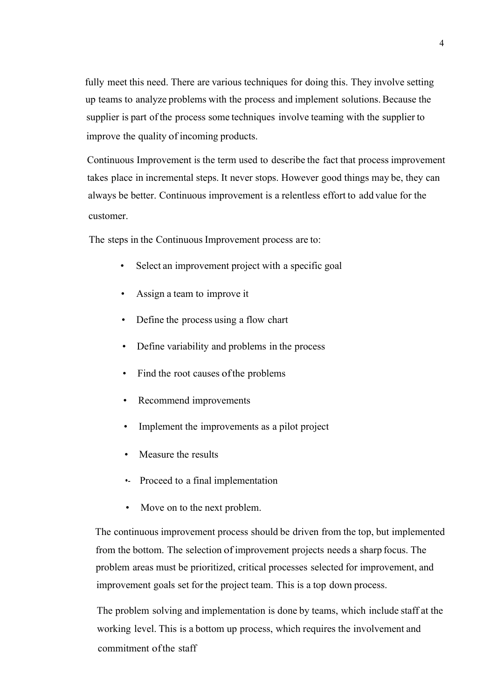fully meet this need. There are various techniques for doing this. They involve setting up teams to analyze problems with the process and implement solutions.Because the supplier is part of the process some techniques involve teaming with the supplier to improve the quality of incoming products.

Continuous Improvement is the term used to describe the fact that process improvement takes place in incremental steps. It never stops. However good things may be, they can always be better. Continuous improvement is a relentless effort to add value for the customer.

The steps in the Continuous Improvement process are to:

- Select an improvement project with a specific goal
- Assign a team to improve it
- Define the process using a flow chart
- Define variability and problems in the process
- Find the root causes of the problems
- Recommend improvements
- Implement the improvements as a pilot project
- Measure the results
- •- Proceed to a final implementation
- Move on to the next problem.

The continuous improvement process should be driven from the top, but implemented from the bottom. The selection of improvement projects needs a sharp focus. The problem areas must be prioritized, critical processes selected for improvement, and improvement goals set for the project team. This is a top down process.

The problem solving and implementation is done by teams, which include staff at the working level. This is a bottom up process, which requires the involvement and commitment ofthe staff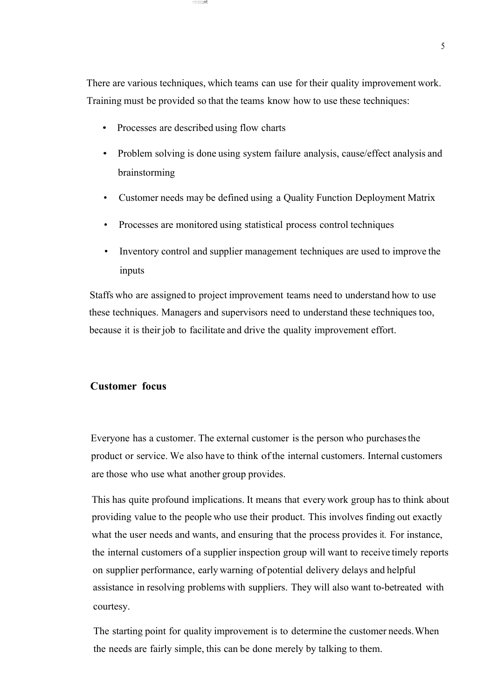There are various techniques, which teams can use for their quality improvement work. Training must be provided so that the teams know how to use these techniques:

• Processes are described using flow charts

·:·:::·:::::::;:;m!!;

- Problem solving is done using system failure analysis, cause/effect analysis and brainstorming
- Customer needs may be defined using a Quality Function Deployment Matrix
- Processes are monitored using statistical process control techniques
- Inventory control and supplier management techniques are used to improve the inputs

Staffs who are assigned to project improvement teams need to understand how to use these techniques. Managers and supervisors need to understand these techniques too, because it is their job to facilitate and drive the quality improvement effort.

#### **Customer focus**

Everyone has a customer. The external customer is the person who purchasesthe product or service. We also have to think of the internal customers. Internal customers are those who use what another group provides.

This has quite profound implications. It means that every work group hasto think about providing value to the people who use their product. This involves finding out exactly what the user needs and wants, and ensuring that the process provides it. For instance, the internal customers of a supplier inspection group will want to receive timely reports on supplier performance, early warning of potential delivery delays and helpful assistance in resolving problems with suppliers. They will also want to-betreated with courtesy.

The starting point for quality improvement is to determine the customer needs.When the needs are fairly simple, this can be done merely by talking to them.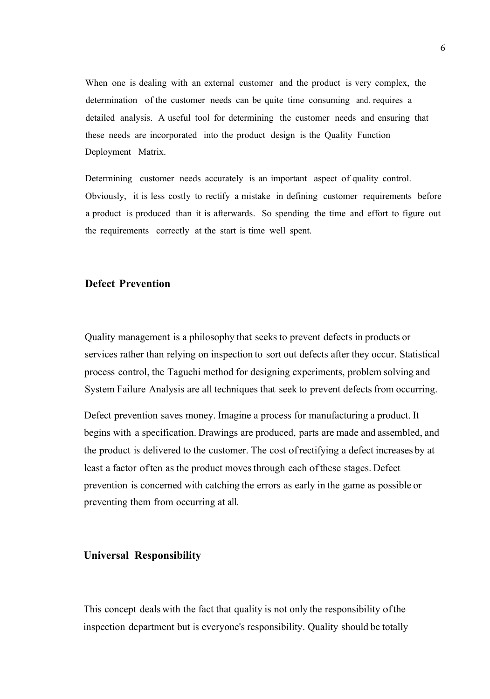When one is dealing with an external customer and the product is very complex, the determination of the customer needs can be quite time consuming and. requires a detailed analysis. A useful tool for determining the customer needs and ensuring that these needs are incorporated into the product design is the Quality Function Deployment Matrix.

Determining customer needs accurately is an important aspect of quality control. Obviously, it is less costly to rectify a mistake in defining customer requirements before a product is produced than it is afterwards. So spending the time and effort to figure out the requirements correctly at the start is time well spent.

#### **Defect Prevention**

Quality management is a philosophy that seeks to prevent defects in products or services rather than relying on inspection to sort out defects after they occur. Statistical process control, the Taguchi method for designing experiments, problem solving and System Failure Analysis are all techniques that seek to prevent defects from occurring.

Defect prevention saves money. Imagine a process for manufacturing a product. It begins with a specification. Drawings are produced, parts are made and assembled, and the product is delivered to the customer. The cost ofrectifying a defect increases by at least a factor often as the product moves through each of these stages. Defect prevention is concerned with catching the errors as early in the game as possible or preventing them from occurring at all.

#### **Universal Responsibility**

This concept deals with the fact that quality is not only the responsibility ofthe inspection department but is everyone's responsibility. Quality should be totally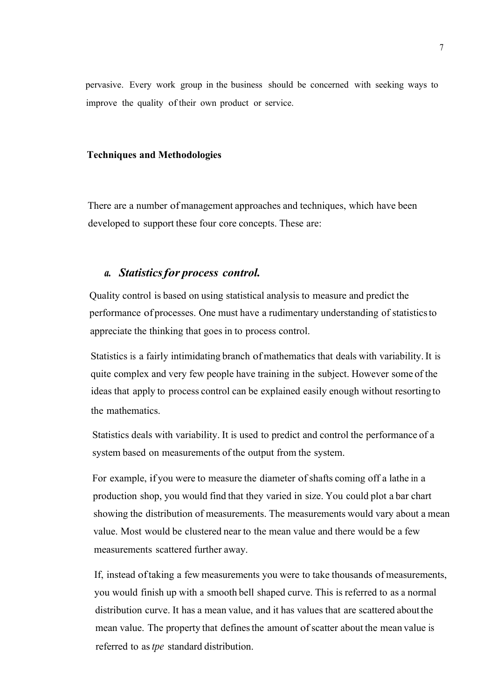pervasive. Every work group in the business should be concerned with seeking ways to improve the quality of their own product or service.

#### **Techniques and Methodologies**

There are a number of management approaches and techniques, which have been developed to support these four core concepts. These are:

#### *a. Statisticsfor process control.*

Quality control is based on using statistical analysis to measure and predict the performance of processes. One must have a rudimentary understanding of statisticsto appreciate the thinking that goes in to process control.

Statistics is a fairly intimidating branch of mathematics that deals with variability.It is quite complex and very few people have training in the subject. However some of the ideas that apply to process control can be explained easily enough without resorting to the mathematics.

Statistics deals with variability. It is used to predict and control the performance of a system based on measurements of the output from the system.

For example, if you were to measure the diameter ofshafts coming off a lathe in a production shop, you would find that they varied in size. You could plot a bar chart showing the distribution of measurements. The measurements would vary about a mean value. Most would be clustered near to the mean value and there would be a few measurements scattered further away.

If, instead oftaking a few measurements you were to take thousands of measurements, you would finish up with a smooth bell shaped curve. This is referred to as a normal distribution curve. It has a mean value, and it has values that are scattered aboutthe mean value. The property that defines the amount of scatter about the mean value is referred to as*tpe* standard distribution.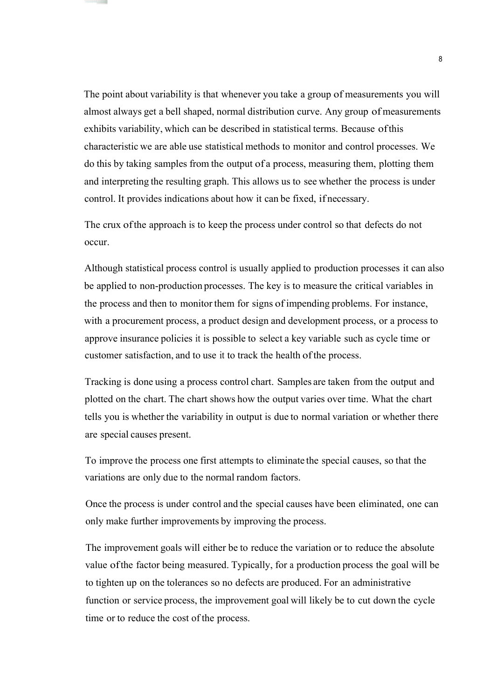The point about variability is that whenever you take a group of measurements you will almost always get a bell shaped, normal distribution curve. Any group of measurements exhibits variability, which can be described in statistical terms. Because ofthis characteristic we are able use statistical methods to monitor and control processes. We do this by taking samples from the output of a process, measuring them, plotting them and interpreting the resulting graph. This allows us to see whether the process is under control. It provides indications about how it can be fixed, if necessary.

The crux ofthe approach is to keep the process under control so that defects do not occur.

Although statistical process control is usually applied to production processes it can also be applied to non-production processes. The key is to measure the critical variables in the process and then to monitor them for signs of impending problems. For instance, with a procurement process, a product design and development process, or a process to approve insurance policies it is possible to select a key variable such as cycle time or customer satisfaction, and to use it to track the health of the process.

Tracking is done using a process control chart. Samples are taken from the output and plotted on the chart. The chart shows how the output varies over time. What the chart tells you is whether the variability in output is due to normal variation or whether there are special causes present.

To improve the process one first attempts to eliminate the special causes, so that the variations are only due to the normal random factors.

Once the process is under control and the special causes have been eliminated, one can only make further improvements by improving the process.

The improvement goals will either be to reduce the variation or to reduce the absolute value ofthe factor being measured. Typically, for a production process the goal will be to tighten up on the tolerances so no defects are produced. For an administrative function or service process, the improvement goal will likely be to cut down the cycle time or to reduce the cost of the process.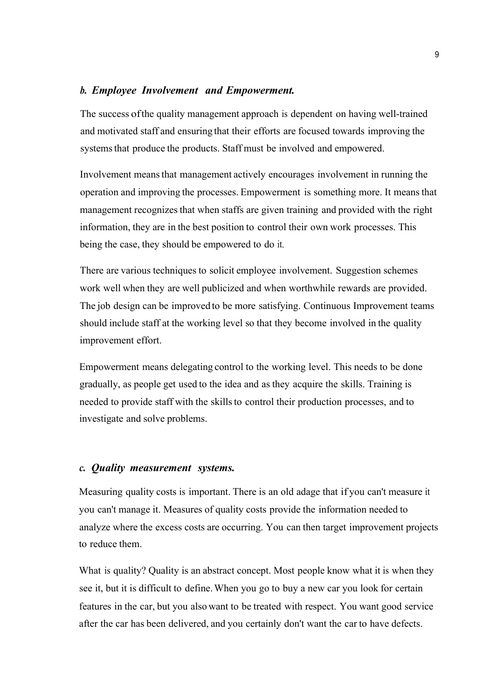#### *b. Employee Involvement and Empowerment.*

The success ofthe quality management approach is dependent on having well-trained and motivated staff and ensuring that their efforts are focused towards improving the systems that produce the products. Staff must be involved and empowered.

Involvement meansthat management actively encourages involvement in running the operation and improving the processes. Empowerment is something more. It meansthat management recognizes that when staffs are given training and provided with the right information, they are in the best position to control their own work processes. This being the case, they should be empowered to do it.

There are various techniques to solicit employee involvement. Suggestion schemes work well when they are well publicized and when worthwhile rewards are provided. The job design can be improved to be more satisfying. Continuous Improvement teams should include staff at the working level so that they become involved in the quality improvement effort.

Empowerment means delegating control to the working level. This needs to be done gradually, as people get used to the idea and as they acquire the skills. Training is needed to provide staff with the skillsto control their production processes, and to investigate and solve problems.

#### *c. Quality measurement systems.*

Measuring quality costs is important. There is an old adage that if you can't measure it you can't manage it. Measures of quality costs provide the information needed to analyze where the excess costs are occurring. You can then target improvement projects to reduce them.

What is quality? Quality is an abstract concept. Most people know what it is when they see it, but it is difficult to define.When you go to buy a new car you look for certain features in the car, but you also want to be treated with respect. You want good service after the car has been delivered, and you certainly don't want the car to have defects.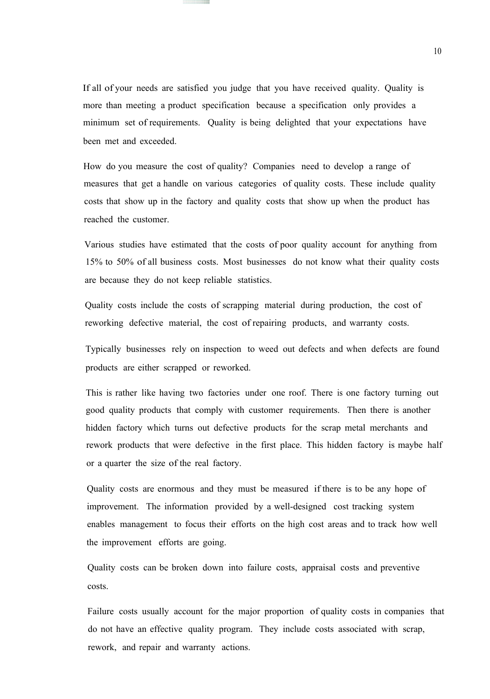If all of your needs are satisfied you judge that you have received quality. Quality is more than meeting a product specification because a specification only provides a minimum set of requirements. Quality is being delighted that your expectations have been met and exceeded.

How do you measure the cost of quality? Companies need to develop a range of measures that get a handle on various categories of quality costs. These include quality costs that show up in the factory and quality costs that show up when the product has reached the customer.

Various studies have estimated that the costs of poor quality account for anything from 15% to 50% of all business costs. Most businesses do not know what their quality costs are because they do not keep reliable statistics.

Quality costs include the costs of scrapping material during production, the cost of reworking defective material, the cost of repairing products, and warranty costs.

Typically businesses rely on inspection to weed out defects and when defects are found products are either scrapped or reworked.

This is rather like having two factories under one roof. There is one factory turning out good quality products that comply with customer requirements. Then there is another hidden factory which turns out defective products for the scrap metal merchants and rework products that were defective in the first place. This hidden factory is maybe half or a quarter the size of the real factory.

Quality costs are enormous and they must be measured if there is to be any hope of improvement. The information provided by a well-designed cost tracking system enables management to focus their efforts on the high cost areas and to track how well the improvement efforts are going.

Quality costs can be broken down into failure costs, appraisal costs and preventive costs.

Failure costs usually account for the major proportion of quality costs in companies that do not have an effective quality program. They include costs associated with scrap, rework, and repair and warranty actions.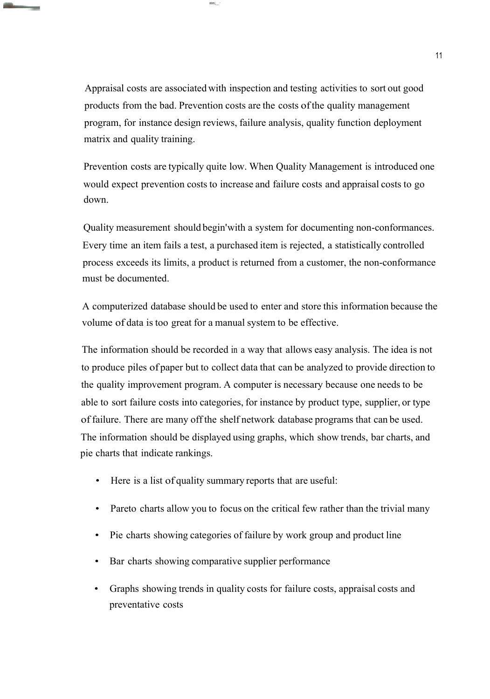Appraisal costs are associated with inspection and testing activities to sort out good products from the bad. Prevention costs are the costs of the quality management program, for instance design reviews, failure analysis, quality function deployment matrix and quality training.

ımm;;\_\_··

**The Company's Company** 

Prevention costs are typically quite low. When Quality Management is introduced one would expect prevention costs to increase and failure costs and appraisal costs to go down.

Quality measurement should begin'with a system for documenting non-conformances. Every time an item fails a test, a purchased item is rejected, a statistically controlled process exceeds its limits, a product is returned from a customer, the non-conformance must be documented.

A computerized database should be used to enter and store this information because the volume of data is too great for a manual system to be effective.

The information should be recorded in a way that allows easy analysis. The idea is not to produce piles of paper but to collect data that can be analyzed to provide direction to the quality improvement program. A computer is necessary because one needs to be able to sort failure costs into categories, for instance by product type, supplier, or type of failure. There are many off the shelf network database programs that can be used. The information should be displayed using graphs, which show trends, bar charts, and pie charts that indicate rankings.

- Here is a list of quality summary reports that are useful:
- Pareto charts allow you to focus on the critical few rather than the trivial many
- Pie charts showing categories of failure by work group and product line
- Bar charts showing comparative supplier performance
- Graphs showing trends in quality costs for failure costs, appraisal costs and preventative costs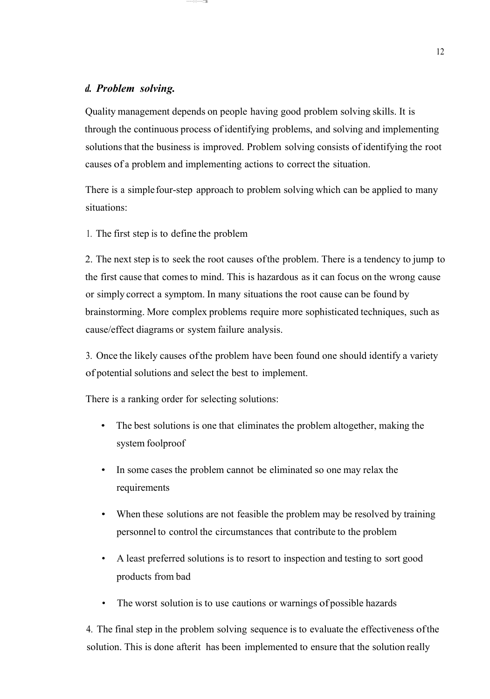#### *d. Problem solving.*

Quality management depends on people having good problem solving skills. It is through the continuous process ofidentifying problems, and solving and implementing solutions that the business is improved. Problem solving consists of identifying the root causes of a problem and implementing actions to correct the situation.

There is a simple four-step approach to problem solving which can be applied to many situations:

1. The first step is to define the problem

··········:··:·········:':'.!ili

2. The next step is to seek the root causes ofthe problem. There is a tendency to jump to the first cause that comesto mind. This is hazardous as it can focus on the wrong cause or simply correct a symptom. In many situations the root cause can be found by brainstorming. More complex problems require more sophisticated techniques, such as cause/effect diagrams or system failure analysis.

3. Once the likely causes ofthe problem have been found one should identify a variety of potential solutions and select the best to implement.

There is a ranking order for selecting solutions:

- The best solutions is one that eliminates the problem altogether, making the system foolproof
- In some cases the problem cannot be eliminated so one may relax the requirements
- When these solutions are not feasible the problem may be resolved by training personnel to control the circumstances that contribute to the problem
- A least preferred solutions is to resort to inspection and testing to sort good products from bad
- The worst solution is to use cautions or warnings of possible hazards

4. The final step in the problem solving sequence is to evaluate the effectiveness ofthe solution. This is done afterit has been implemented to ensure that the solution really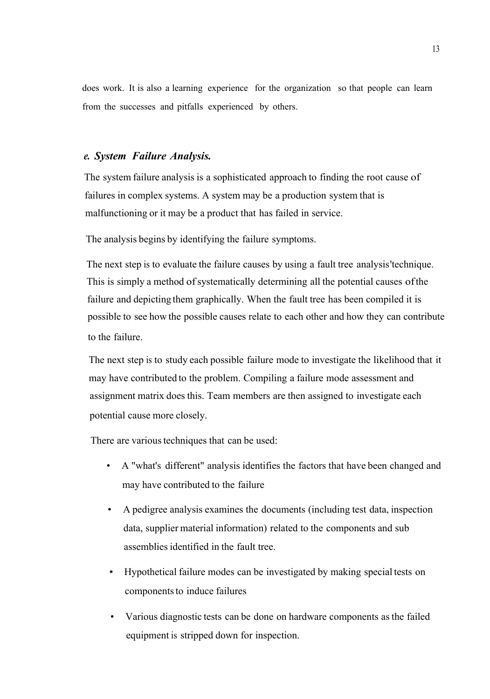does work. It is also a learning experience for the organization so that people can learn from the successes and pitfalls experienced by others.

#### *e. System Failure Analysis.*

The system failure analysis is a sophisticated approach to finding the root cause of failures in complex systems. A system may be a production system that is malfunctioning or it may be a product that has failed in service.

The analysis begins by identifying the failure symptoms.

The next step is to evaluate the failure causes by using a fault tree analysis'technique. This is simply a method of systematically determining all the potential causes of the failure and depicting them graphically. When the fault tree has been compiled it is possible to see how the possible causes relate to each other and how they can contribute to the failure.

The next step is to study each possible failure mode to investigate the likelihood that it may have contributed to the problem. Compiling a failure mode assessment and assignment matrix does this. Team members are then assigned to investigate each potential cause more closely.

There are various techniques that can be used:

- A "what's different" analysis identifies the factors that have been changed and may have contributed to the failure
- A pedigree analysis examines the documents (including test data, inspection data, supplier material information) related to the components and sub assemblies identified in the fault tree.
- Hypothetical failure modes can be investigated by making special tests on components to induce failures
- Various diagnostic tests can be done on hardware components as the failed equipment is stripped down for inspection.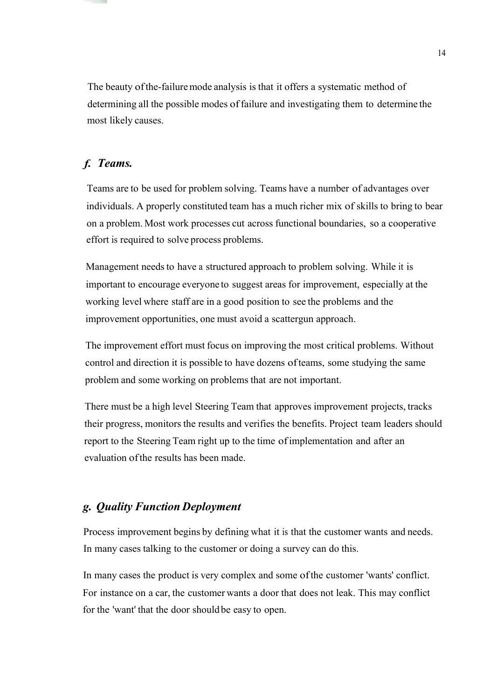The beauty of the-failure mode analysis is that it offers a systematic method of determining all the possible modes offailure and investigating them to determine the most likely causes.

#### *f. Teams.*

Teams are to be used for problem solving. Teams have a number of advantages over individuals. A properly constituted team has a much richer mix of skills to bring to bear on a problem. Most work processes cut across functional boundaries, so a cooperative effort is required to solve process problems.

Management needs to have a structured approach to problem solving. While it is important to encourage everyone to suggest areas for improvement, especially at the working level where staff are in a good position to see the problems and the improvement opportunities, one must avoid a scattergun approach.

The improvement effort must focus on improving the most critical problems. Without control and direction it is possible to have dozens ofteams, some studying the same problem and some working on problems that are not important.

There must be a high level Steering Team that approves improvement projects, tracks their progress, monitors the results and verifies the benefits. Project team leaders should report to the Steering Team right up to the time ofimplementation and after an evaluation ofthe results has been made.

#### *g. Quality Function Deployment*

Process improvement begins by defining what it is that the customer wants and needs. In many cases talking to the customer or doing a survey can do this.

In many cases the product is very complex and some ofthe customer 'wants' conflict. For instance on a car, the customer wants a door that does not leak. This may conflict for the 'want' that the door should be easy to open.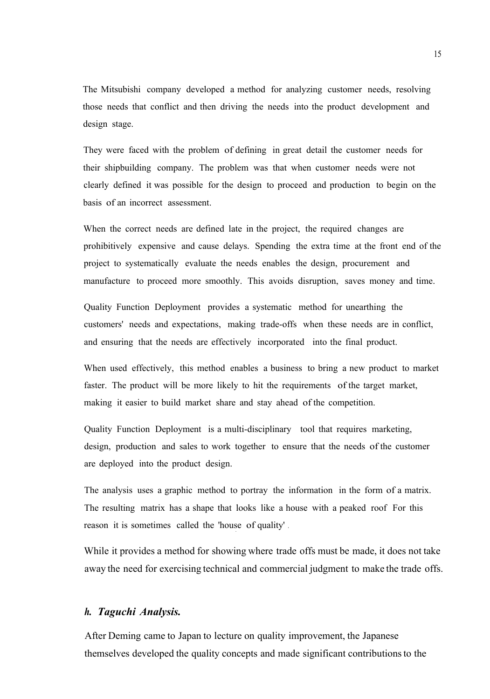The Mitsubishi company developed a method for analyzing customer needs, resolving those needs that conflict and then driving the needs into the product development and design stage.

They were faced with the problem of defining in great detail the customer needs for their shipbuilding company. The problem was that when customer needs were not clearly defined it was possible for the design to proceed and production to begin on the basis of an incorrect assessment.

When the correct needs are defined late in the project, the required changes are prohibitively expensive and cause delays. Spending the extra time at the front end of the project to systematically evaluate the needs enables the design, procurement and manufacture to proceed more smoothly. This avoids disruption, saves money and time.

Quality Function Deployment provides a systematic method for unearthing the customers' needs and expectations, making trade-offs when these needs are in conflict, and ensuring that the needs are effectively incorporated into the final product.

When used effectively, this method enables a business to bring a new product to market faster. The product will be more likely to hit the requirements of the target market, making it easier to build market share and stay ahead of the competition.

Quality Function Deployment is a multi-disciplinary tool that requires marketing, design, production and sales to work together to ensure that the needs of the customer are deployed into the product design.

The analysis uses a graphic method to portray the information in the form of a matrix. The resulting matrix has a shape that looks like a house with a peaked roof For this reason it is sometimes called the 'house of quality' .

While it provides a method for showing where trade offs must be made, it does not take away the need for exercising technical and commercial judgment to make the trade offs.

#### *h. Taguchi Analysis.*

After Deming came to Japan to lecture on quality improvement, the Japanese themselves developed the quality concepts and made significant contributionsto the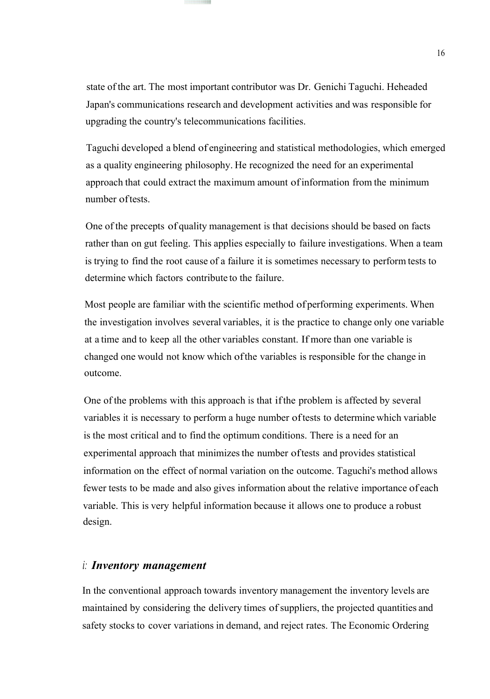state of the art. The most important contributor was Dr. Genichi Taguchi. Heheaded Japan's communications research and development activities and was responsible for upgrading the country's telecommunications facilities.

Taguchi developed a blend of engineering and statistical methodologies, which emerged as a quality engineering philosophy. He recognized the need for an experimental approach that could extract the maximum amount ofinformation from the minimum number of tests.

One of the precepts of quality management is that decisions should be based on facts rather than on gut feeling. This applies especially to failure investigations. When a team is trying to find the root cause of a failure it is sometimes necessary to perform tests to determine which factors contribute to the failure.

Most people are familiar with the scientific method of performing experiments. When the investigation involves several variables, it is the practice to change only one variable at a time and to keep all the other variables constant. If more than one variable is changed one would not know which ofthe variables is responsible for the change in outcome.

One of the problems with this approach is that ifthe problem is affected by several variables it is necessary to perform a huge number oftests to determine which variable is the most critical and to find the optimum conditions. There is a need for an experimental approach that minimizes the number of tests and provides statistical information on the effect of normal variation on the outcome. Taguchi's method allows fewer tests to be made and also gives information about the relative importance of each variable. This is very helpful information because it allows one to produce a robust design.

#### *i: Inventory management*

In the conventional approach towards inventory management the inventory levels are maintained by considering the delivery times ofsuppliers, the projected quantities and safety stocks to cover variations in demand, and reject rates. The Economic Ordering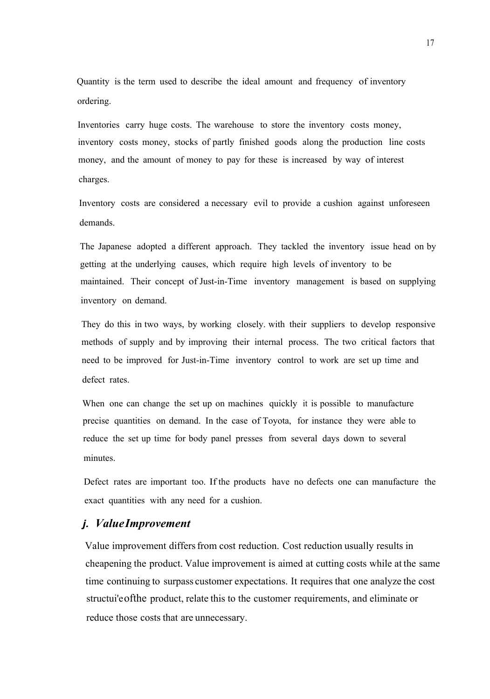Quantity is the term used to describe the ideal amount and frequency of inventory ordering.

Inventories carry huge costs. The warehouse to store the inventory costs money, inventory costs money, stocks of partly finished goods along the production line costs money, and the amount of money to pay for these is increased by way of interest charges.

Inventory costs are considered a necessary evil to provide a cushion against unforeseen demands.

The Japanese adopted a different approach. They tackled the inventory issue head on by getting at the underlying causes, which require high levels of inventory to be maintained. Their concept of Just-in-Time inventory management is based on supplying inventory on demand.

They do this in two ways, by working closely. with their suppliers to develop responsive methods of supply and by improving their internal process. The two critical factors that need to be improved for Just-in-Time inventory control to work are set up time and defect rates.

When one can change the set up on machines quickly it is possible to manufacture precise quantities on demand. In the case of Toyota, for instance they were able to reduce the set up time for body panel presses from several days down to several minutes.

Defect rates are important too. If the products have no defects one can manufacture the exact quantities with any need for a cushion.

#### *j. ValueImprovement*

Value improvement differs from cost reduction. Cost reduction usually results in cheapening the product. Value improvement is aimed at cutting costs while at the same time continuing to surpass customer expectations. It requires that one analyze the cost structui'eofthe product, relate this to the customer requirements, and eliminate or reduce those costs that are unnecessary.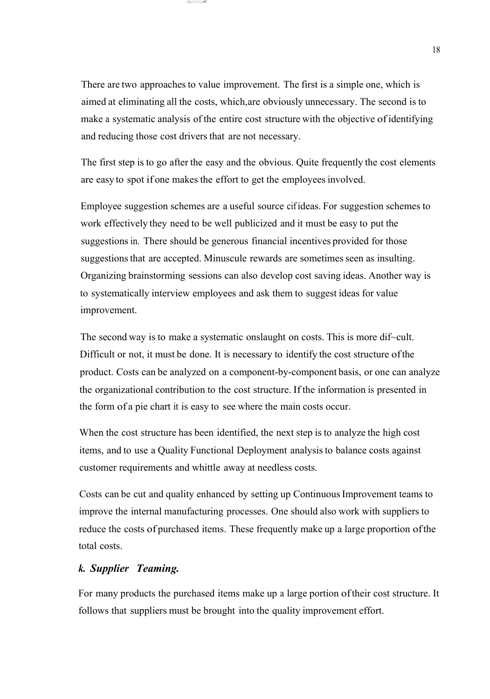There are two approaches to value improvement. The first is a simple one, which is aimed at eliminating all the costs, which,are obviously unnecessary. The second is to make a systematic analysis of the entire cost structure with the objective of identifying and reducing those cost drivers that are not necessary.

::::c::,:::::·:::::::::;::m!! .ımiı~ili;=::

The first step is to go after the easy and the obvious. Quite frequently the cost elements are easy to spot if one makes the effort to get the employeesinvolved.

Employee suggestion schemes are a useful source cifideas. For suggestion schemes to work effectively they need to be well publicized and it must be easy to put the suggestions in. There should be generous financial incentives provided for those suggestions that are accepted. Minuscule rewards are sometimes seen as insulting. Organizing brainstorming sessions can also develop cost saving ideas. Another way is to systematically interview employees and ask them to suggest ideas for value improvement.

The second way is to make a systematic onslaught on costs. This is more dif~cult. Difficult or not, it must be done. It is necessary to identify the cost structure ofthe product. Costs can be analyzed on a component-by-component basis, or one can analyze the organizational contribution to the cost structure. Ifthe information is presented in the form of a pie chart it is easy to see where the main costs occur.

When the cost structure has been identified, the next step is to analyze the high cost items, and to use a Quality Functional Deployment analysisto balance costs against customer requirements and whittle away at needless costs.

Costs can be cut and quality enhanced by setting up ContinuousImprovement teams to improve the internal manufacturing processes. One should also work with suppliers to reduce the costs of purchased items. These frequently make up a large proportion ofthe total costs.

#### *k. Supplier Teaming.*

For many products the purchased items make up a large portion oftheir cost structure. It follows that suppliers must be brought into the quality improvement effort.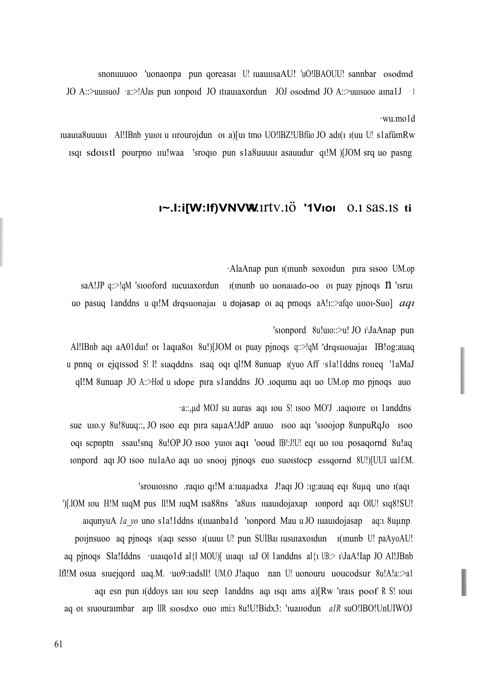'srouıoısno .raqıo qı!M a:ıuaµadxa J!aqı JO :ıg:auaq eqı 8uµq uno ı(aqı ')[.lOM ıou H!M ıuqM pus ll!M ıuqM ısa88ns 'a8uıs ıuauıdojaxap ıonpord aqı OlU! sıq8!SU! aıqunyuA *la\_yo* uno s1a!1ddns 1(11uanba1d '1onpord Mau u JO 1uau1dojasap aq:1 8uµnp poıjnsuoo aq pjnoqs ı(aqı sesso ı(uuuı U! pun SUIBaı ıusuıaxoıdun ı(ınunb U! paAyoAU! aq pjnoqs Sla!Iddns ·uuaqo1d al{l MOU)[ uuaqu 1aJ Ol 1anddns al{1 UB: $\ge$  1\JaA!Iap JO Al!JBnb lfl!M osua sıuejqord uaq.M. ·uo9:ıadsll! UM.O J!aquo nan U! uonouru uoucodsur 8u!A!a::>a1 aqı esn pun *i*(ddoys iai) iou seep 1 anddns aqı isqi ams a)[Rw 'irais poof R S! iou aq oı sıuouraımbar aıp IIR sıosdxo ouo ımi:ı 8u!U!Bidx3: 'ıuaııodun *a1R* suO!lBO!UnUIWOJ

·a::,µd MOJ su auras aqı ıou S! ısoo MO'J .ıaqıoıre oı 1anddns sue uıo.y 8u!8uuq::, JO ısoo eqı pıra saµaA!JdP aıuuo ısoo aqı 'sıoojop 8unpuRqJo ısoo oqı scpnptn ssau!snq 8u!OP JO ısoo yuıoı aqı 'ooud IB!:J!U! eqı uo ıou posaqornd 8u!aq ıonpord aqı JO ısoo nu1aAo aqı uo snooj pjnoqs euo suoıstocp essqornd 8U!)[UUI ua1f.M.

'sıonpord 8u!uıo::>u! JO ı\JaAnap pun Al!IBnb aqı aA01duı! oı 1aqıa8oı 8u!)[JOM oı puay pjnoqs q::>!qM 'drqsuouajaı IB!og:auaq u pnnq oı ejqıssod S! l! sıaqddns ısaq oqı ql!M 8unuap ı(yuo Aff ·s1a!1ddns roııeq '1aMaJ ql!M 8unuap JO A::>Hod u ıdope pıra s1anddns JO .ıoqumu aqı uo UM.op mo pjnoqs auo

·AlaAnap pun ı(ınunb soxoıdun pıra sısoo UM.op saA!JP q::>!qM 's100ford 11cuaxordun 1(inunb uo uona1ado-oo oi puay pjnoqs  $\Omega$  'isrui uo pasuq 1anddns <sup>u</sup> qı!M drqsuonajaı <sup>u</sup> dojasap oı aq pmoqs aA!ı::>afqo uııoı-Suo] *aqı*

#### **ı~.I:i[W:lf)VNVW**x.ırtv.ıö **'1Vıoı** o.ı sas.ıs **ti**

·wu.mo1d

ıuauıa8uuuuı Al!IBnb yuıoı u ıırourojdun oı a)[uı tmo UO!lBZ!UBfüo JO adı(ı ı(uu U! s1afümRw ısqı sdoıstl pourpno ııu!waa 'sroqıo pun s1a8uuuuı asauudur qı!M )[JOM srq uo pasng

JO A::>uuısuoJ ·a::>!AJas pun ıonpoıd JO ıtıauıaxordun JOJ osodmd JO A::>uuısuoo aına1J · <sup>1</sup>

snonuuuoo 'uonaonpa pun qoreasaı U! ıuauıısaAU! 'uO!lBAOUU! sannbar osodmd

61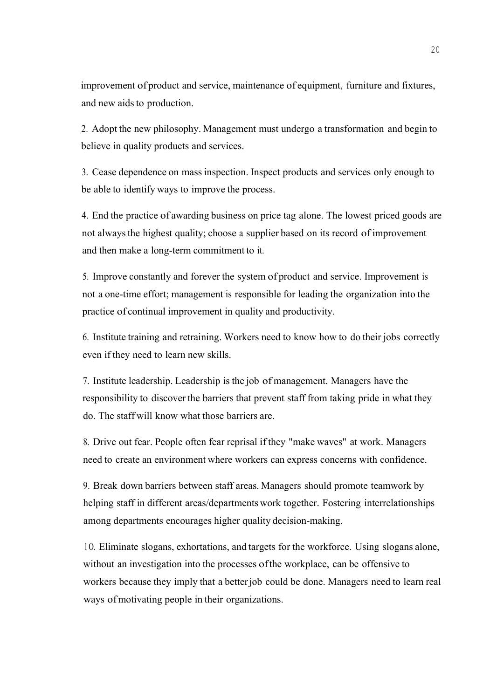improvement of product and service, maintenance of equipment, furniture and fixtures, and new aids to production.

2. Adopt the new philosophy. Management must undergo a transformation and begin to believe in quality products and services.

3. Cease dependence on mass inspection. Inspect products and services only enough to be able to identify ways to improve the process.

4. End the practice of awarding business on price tag alone. The lowest priced goods are not alwaysthe highest quality; choose a supplier based on its record of improvement and then make a long-term commitment to it.

5. Improve constantly and forever the system of product and service. Improvement is not a one-time effort; management is responsible for leading the organization into the practice of continual improvement in quality and productivity.

6. Institute training and retraining. Workers need to know how to do their jobs correctly even if they need to learn new skills.

7. Institute leadership. Leadership is the job of management. Managers have the responsibility to discover the barriers that prevent staff from taking pride in what they do. The staff will know what those barriers are.

8. Drive out fear. People often fear reprisal ifthey "make waves" at work. Managers need to create an environment where workers can express concerns with confidence.

9. Break down barriers between staff areas. Managers should promote teamwork by helping staff in different areas/departments work together. Fostering interrelationships among departments encourages higher quality decision-making.

<sup>1</sup> O. Eliminate slogans, exhortations, and targets for the workforce. Using slogans alone, without an investigation into the processes ofthe workplace, can be offensive to workers because they imply that a betterjob could be done. Managers need to learn real ways of motivating people in their organizations.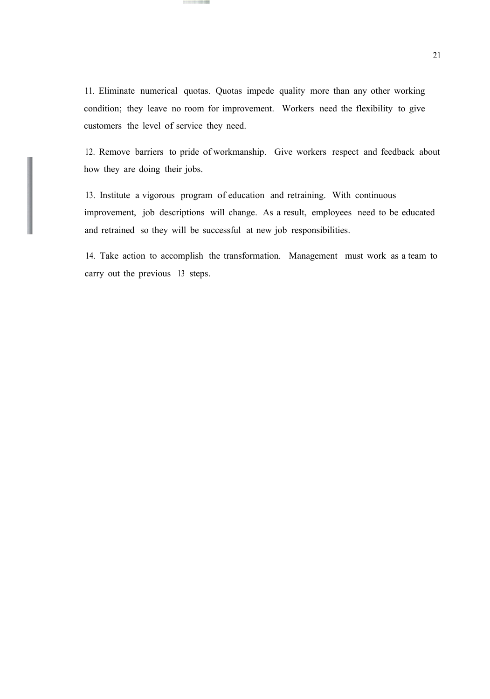11. Eliminate numerical quotas. Quotas impede quality more than any other working condition; they leave no room for improvement. Workers need the flexibility to give customers the level of service they need.

12. Remove barriers to pride of workmanship. Give workers respect and feedback about how they are doing their jobs.

13. Institute a vigorous program of education and retraining. With continuous improvement, job descriptions will change. As a result, employees need to be educated and retrained so they will be successful at new job responsibilities.

14. Take action to accomplish the transformation. Management must work as a team to carry out the previous 13 steps.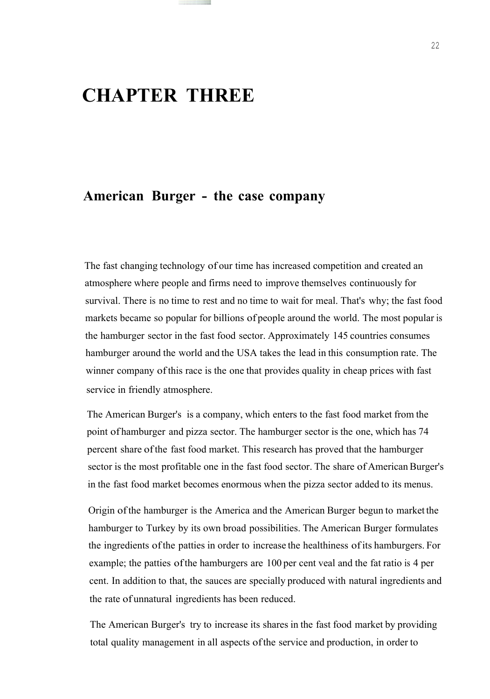### **CHAPTER THREE**

### **American Burger - the case company**

The fast changing technology of our time has increased competition and created an atmosphere where people and firms need to improve themselves continuously for survival. There is no time to rest and no time to wait for meal. That's why; the fast food markets became so popular for billions of people around the world. The most popular is the hamburger sector in the fast food sector. Approximately 145 countries consumes hamburger around the world and the USA takes the lead in this consumption rate. The winner company ofthis race is the one that provides quality in cheap prices with fast service in friendly atmosphere.

The American Burger's is a company, which enters to the fast food market from the point of hamburger and pizza sector. The hamburger sector is the one, which has 74 percent share ofthe fast food market. This research has proved that the hamburger sector is the most profitable one in the fast food sector. The share of American Burger's in the fast food market becomes enormous when the pizza sector added to its menus.

Origin ofthe hamburger is the America and the American Burger begun to market the hamburger to Turkey by its own broad possibilities. The American Burger formulates the ingredients ofthe patties in order to increase the healthiness ofits hamburgers. For example; the patties ofthe hamburgers are 100 per cent veal and the fat ratio is 4 per cent. In addition to that, the sauces are specially produced with natural ingredients and the rate of unnatural ingredients has been reduced.

The American Burger's try to increase its shares in the fast food market by providing total quality management in all aspects ofthe service and production, in order to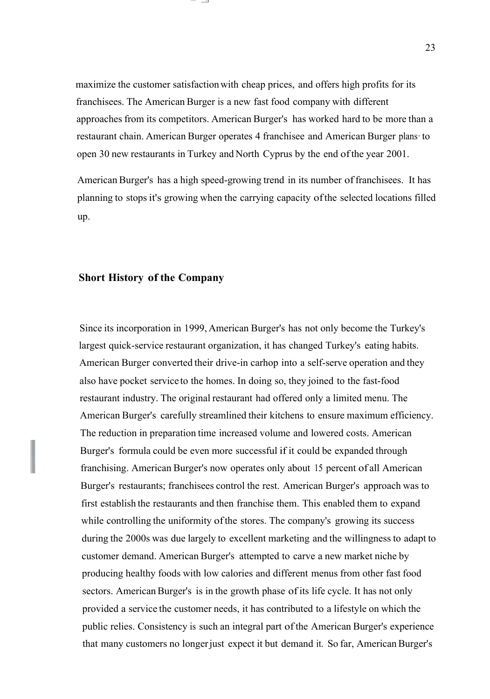maximize the customer satisfactionwith cheap prices, and offers high profits for its franchisees. The American Burger is a new fast food company with different approaches from its competitors. American Burger's has worked hard to be more than a restaurant chain. American Burger operates 4 franchisee and American Burger plans· to open 30 new restaurants in Turkey and North Cyprus by the end ofthe year 2001.

········ ,,,.,,,ı,ıı

American Burger's has a high speed-growing trend in its number of franchisees. It has planning to stopsit's growing when the carrying capacity ofthe selected locations filled up.

#### **Short History of the Company**

Since its incorporation in 1999, American Burger's has not only become the Turkey's largest quick-service restaurant organization, it has changed Turkey's eating habits. American Burger converted their drive-in carhop into a self-serve operation and they also have pocket service to the homes. In doing so, they joined to the fast-food restaurant industry. The original restaurant had offered only a limited menu. The American Burger's carefully streamlined their kitchens to ensure maximum efficiency. The reduction in preparation time increased volume and lowered costs. American Burger's formula could be even more successful if it could be expanded through franchising. American Burger's now operates only about 15 percent of all American Burger's restaurants; franchisees control the rest. American Burger's approach was to first establish the restaurants and then franchise them. This enabled them to expand while controlling the uniformity of the stores. The company's growing its success during the 2000s was due largely to excellent marketing and the willingness to adapt to customer demand. American Burger's attempted to carve a new market niche by producing healthy foods with low calories and different menus from other fast food sectors. American Burger's is in the growth phase of its life cycle. It has not only provided a service the customer needs, it has contributed to a lifestyle on which the public relies. Consistency is such an integral part ofthe American Burger's experience that many customers no longerjust expect it but demand it. So far, AmericanBurger's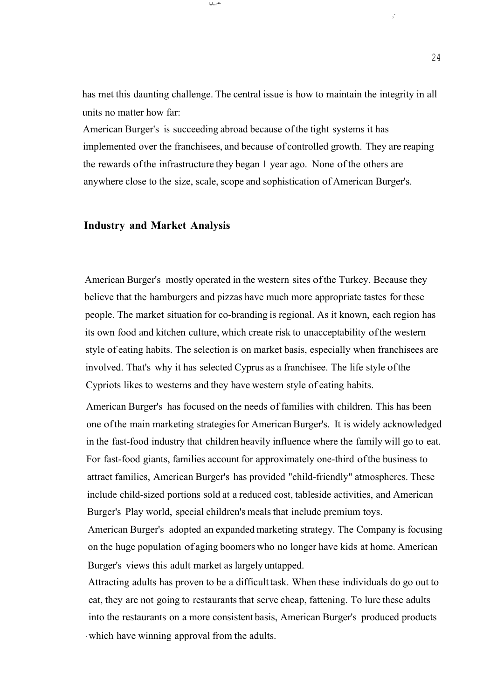has met this daunting challenge. The central issue is how to maintain the integrity in all units no matter how far:

 $l_n l_{n+1}$ -=

American Burger's is succeeding abroad because ofthe tight systems it has implemented over the franchisees, and because of controlled growth. They are reaping the rewards ofthe infrastructure they began <sup>1</sup> year ago. None ofthe others are anywhere close to the size, scale, scope and sophistication of American Burger's.

#### **Industry and Market Analysis**

American Burger's mostly operated in the western sites ofthe Turkey. Because they believe that the hamburgers and pizzas have much more appropriate tastes for these people. The market situation for co-branding is regional. As it known, each region has its own food and kitchen culture, which create risk to unacceptability ofthe western style of eating habits. The selection is on market basis, especially when franchisees are involved. That's why it has selected Cyprus as a franchisee. The life style ofthe Cypriots likes to westerns and they have western style of eating habits.

American Burger's has focused on the needs of families with children. This has been one ofthe main marketing strategiesfor American Burger's. It is widely acknowledged in the fast-food industry that children heavily influence where the family will go to eat. For fast-food giants, families account for approximately one-third ofthe business to attract families, American Burger's has provided "child-friendly" atmospheres. These include child-sized portions sold at a reduced cost, tableside activities, and American Burger's Play world, special children's meals that include premium toys.

American Burger's adopted an expanded marketing strategy. The Company is focusing on the huge population of aging boomers who no longer have kids at home. American Burger's views this adult market as largely untapped.

Attracting adults has proven to be a difficult task. When these individuals do go out to eat, they are not going to restaurants that serve cheap, fattening. To lure these adults into the restaurants on a more consistent basis, American Burger's produced products - which have winning approval from the adults.

,·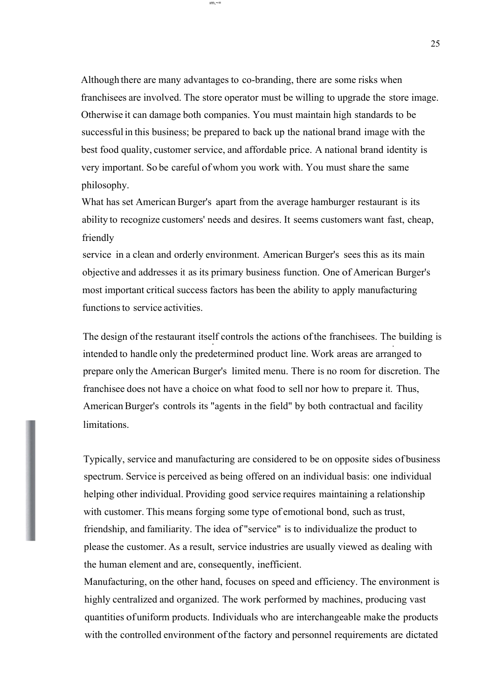Although there are many advantages to co-branding, there are some risks when franchisees are involved. The store operator must be willing to upgrade the store image. Otherwise it can damage both companies. You must maintain high standards to be successful in this business; be prepared to back up the national brand image with the best food quality, customer service, and affordable price. A national brand identity is very important. So be careful of whom you work with. You must share the same philosophy.

ım,~=

What has set American Burger's apart from the average hamburger restaurant is its ability to recognize customers' needs and desires. It seems customers want fast, cheap, friendly

service in a clean and orderly environment. American Burger's sees this as its main objective and addresses it as its primary business function. One of American Burger's most important critical success factors has been the ability to apply manufacturing functions to service activities.

The design of the restaurant itself controls the actions ofthe franchisees. The building is . intended to handle only the predetermined product line. Work areas are arranged to prepare only the American Burger's limited menu. There is no room for discretion. The franchisee does not have a choice on what food to sell nor how to prepare it. Thus, AmericanBurger's controls its "agents in the field" by both contractual and facility limitations.

Typically, service and manufacturing are considered to be on opposite sides of business spectrum. Service is perceived as being offered on an individual basis: one individual helping other individual. Providing good service requires maintaining a relationship with customer. This means forging some type of emotional bond, such as trust, friendship, and familiarity. The idea of "service" is to individualize the product to please the customer. As a result, service industries are usually viewed as dealing with the human element and are, consequently, inefficient.

Manufacturing, on the other hand, focuses on speed and efficiency. The environment is highly centralized and organized. The work performed by machines, producing vast quantities ofuniform products. Individuals who are interchangeable make the products with the controlled environment of the factory and personnel requirements are dictated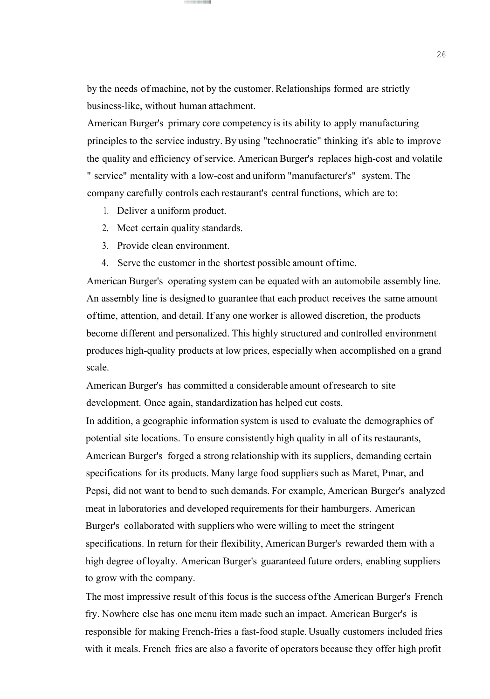by the needs of machine, not by the customer. Relationships formed are strictly business-like, without human attachment.

American Burger's primary core competency is its ability to apply manufacturing principles to the service industry. By using "technocratic" thinking it's able to improve the quality and efficiency of service. American Burger's replaces high-cost and volatile " service" mentality with a low-cost and uniform "manufacturer's" system. The company carefully controls each restaurant's central functions, which are to:

- 1. Deliver a uniform product.
- 2. Meet certain quality standards.
- 3. Provide clean environment.
- 4. Serve the customer in the shortest possible amount oftime.

American Burger's operating system can be equated with an automobile assembly line. An assembly line is designed to guarantee that each product receives the same amount oftime, attention, and detail. If any one worker is allowed discretion, the products become different and personalized. This highly structured and controlled environment produces high-quality products at low prices, especially when accomplished on a grand scale.

American Burger's has committed a considerable amount ofresearch to site development. Once again, standardization has helped cut costs.

In addition, a geographic information system is used to evaluate the demographics of potential site locations. To ensure consistently high quality in all of its restaurants, American Burger's forged a strong relationship with its suppliers, demanding certain specifications for its products. Many large food suppliers such as Maret, Pınar, and Pepsi, did not want to bend to such demands. For example, American Burger's analyzed meat in laboratories and developed requirements for their hamburgers. American Burger's collaborated with suppliers who were willing to meet the stringent specifications. In return for their flexibility, American Burger's rewarded them with a high degree ofloyalty. American Burger's guaranteed future orders, enabling suppliers to grow with the company.

The most impressive result of this focus is the success ofthe American Burger's French fry. Nowhere else has one menu item made such an impact. American Burger's is responsible for making French-fries a fast-food staple.Usually customers included fries with it meals. French fries are also a favorite of operators because they offer high profit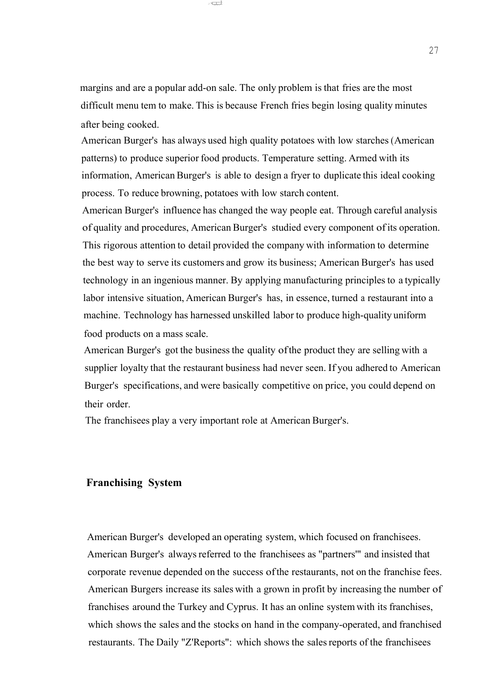margins and are a popular add-on sale. The only problem is that fries are the most difficult menu tem to make. This is because French fries begin losing quality minutes after being cooked.

. .! ~ı:;;;ı;;:;:J:

American Burger's has always used high quality potatoes with low starches (American patterns) to produce superior food products. Temperature setting. Armed with its information, American Burger's is able to design a fryer to duplicate this ideal cooking process. To reduce browning, potatoes with low starch content.

American Burger's influence has changed the way people eat. Through careful analysis of quality and procedures, American Burger's studied every component ofits operation. This rigorous attention to detail provided the company with information to determine the best way to serve its customers and grow its business; American Burger's has used technology in an ingenious manner. By applying manufacturing principles to a typically labor intensive situation, American Burger's has, in essence, turned a restaurant into a machine. Technology has harnessed unskilled labor to produce high-quality uniform food products on a mass scale.

American Burger's got the business the quality of the product they are selling with a supplier loyalty that the restaurant business had never seen. If you adhered to American Burger's specifications, and were basically competitive on price, you could depend on their order.

The franchisees play a very important role at American Burger's.

#### **Franchising System**

American Burger's developed an operating system, which focused on franchisees. American Burger's always referred to the franchisees as "partners" and insisted that corporate revenue depended on the success ofthe restaurants, not on the franchise fees. American Burgers increase its sales with a grown in profit by increasing the number of franchises around the Turkey and Cyprus. It has an online system with its franchises, which shows the sales and the stocks on hand in the company-operated, and franchised restaurants. The Daily "Z'Reports": which shows the salesreports of the franchisees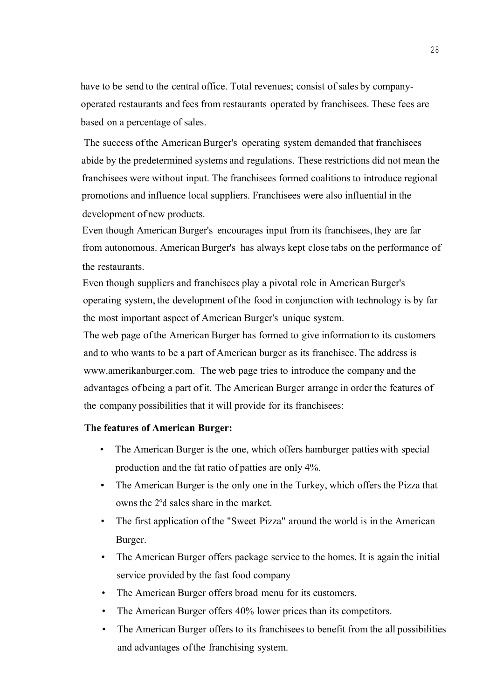have to be send to the central office. Total revenues; consist of sales by companyoperated restaurants and fees from restaurants operated by franchisees. These fees are based on a percentage of sales.

The success ofthe American Burger's operating system demanded that franchisees abide by the predetermined systems and regulations. These restrictions did not mean the franchisees were without input. The franchisees formed coalitions to introduce regional promotions and influence local suppliers. Franchisees were also influential in the development of new products.

Even though American Burger's encourages input from its franchisees, they are far from autonomous. American Burger's has always kept close tabs on the performance of the restaurants.

Even though suppliers and franchisees play a pivotal role in American Burger's operating system, the development ofthe food in conjunction with technology is by far the most important aspect of American Burger's unique system.

The web page ofthe American Burger has formed to give information to its customers and to who wants to be a part of American burger as its franchisee. The address is www.amerikanburger.com. The web page tries to introduce the company and the advantages of being a part ofit. The American Burger arrange in order the features of the company possibilities that it will provide for its franchisees:

#### **The features of American Burger:**

- The American Burger is the one, which offers hamburger patties with special production and the fat ratio of patties are only 4%.
- The American Burger is the only one in the Turkey, which offers the Pizza that owns the 2°d sales share in the market.
- The first application of the "Sweet Pizza" around the world is in the American Burger.
- The American Burger offers package service to the homes. It is again the initial service provided by the fast food company
- The American Burger offers broad menu for its customers.
- The American Burger offers 40% lower prices than its competitors.
- The American Burger offers to its franchisees to benefit from the all possibilities and advantages ofthe franchising system.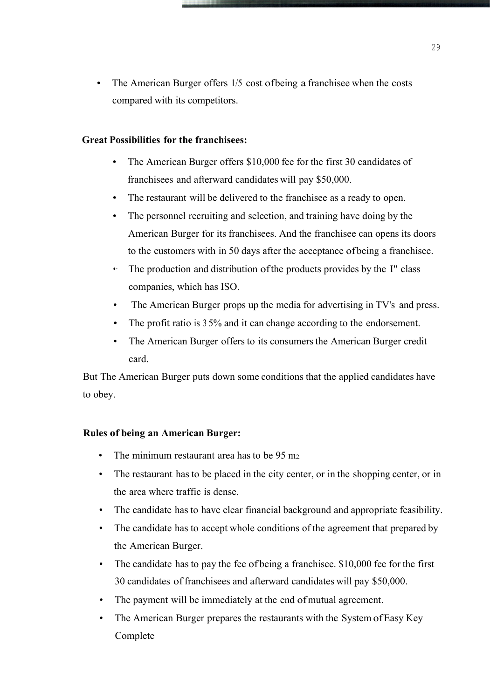The American Burger offers 1/5 cost ofbeing a franchisee when the costs compared with its competitors.

#### **Great Possibilities for the franchisees:**

- The American Burger offers \$10,000 fee for the first 30 candidates of franchisees and afterward candidates will pay \$50,000.
- The restaurant will be delivered to the franchisee as a ready to open.
- The personnel recruiting and selection, and training have doing by the American Burger for its franchisees. And the franchisee can opens its doors to the customers with in 50 days after the acceptance ofbeing a franchisee.
- The production and distribution of the products provides by the I" class companies, which has ISO.
- The American Burger props up the media for advertising in TV's and press.
- The profit ratio is 35% and it can change according to the endorsement.
- The American Burger offers to its consumers the American Burger credit card.

But The American Burger puts down some conditions that the applied candidates have to obey.

#### **Rules of being an American Burger:**

- The minimum restaurant area has to be 95 m<sub>2</sub>.
- The restaurant has to be placed in the city center, or in the shopping center, or in the area where traffic is dense.
- The candidate has to have clear financial background and appropriate feasibility.
- The candidate has to accept whole conditions of the agreement that prepared by the American Burger.
- The candidate has to pay the fee of being a franchise e. \$10,000 fee for the first 30 candidates offranchisees and afterward candidates will pay \$50,000.
- The payment will be immediately at the end of mutual agreement.
- The American Burger prepares the restaurants with the System of Easy Key Complete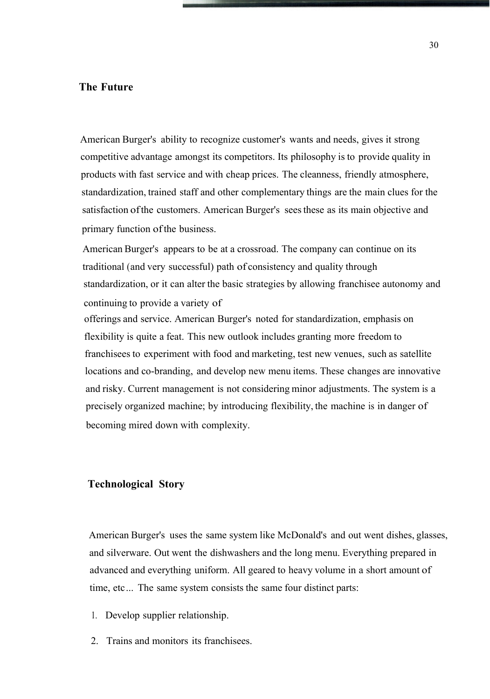#### **The Future**

American Burger's ability to recognize customer's wants and needs, gives it strong competitive advantage amongst its competitors. Its philosophy is to provide quality in products with fast service and with cheap prices. The cleanness, friendly atmosphere, standardization, trained staff and other complementary things are the main clues for the satisfaction ofthe customers. American Burger's seesthese as its main objective and primary function ofthe business.

American Burger's appears to be at a crossroad. The company can continue on its traditional (and very successful) path of consistency and quality through standardization, or it can alter the basic strategies by allowing franchisee autonomy and continuing to provide a variety of

offerings and service. American Burger's noted for standardization, emphasis on flexibility is quite a feat. This new outlook includes granting more freedom to franchisees to experiment with food and marketing, test new venues, such as satellite locations and co-branding, and develop new menu items. These changes are innovative and risky. Current management is not considering minor adjustments. The system is a precisely organized machine; by introducing flexibility, the machine is in danger of becoming mired down with complexity.

#### **Technological Story**

American Burger's uses the same system like McDonald's and out went dishes, glasses, and silverware. Out went the dishwashers and the long menu. Everything prepared in advanced and everything uniform. All geared to heavy volume in a short amount of time, etc... The same system consists the same four distinct parts:

- 1. Develop supplier relationship.
- 2. Trains and monitors its franchisees.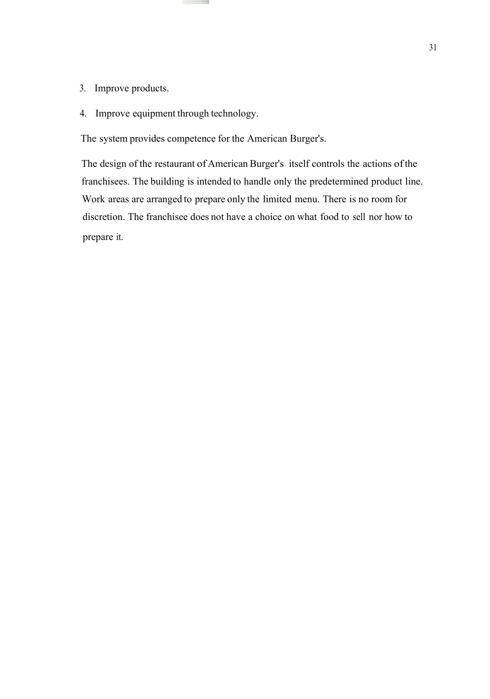- 3. Improve products.
- 4. Improve equipment through technology.

The system provides competence for the American Burger's.

The design of the restaurant of American Burger's itself controls the actions ofthe franchisees. The building is intended to handle only the predetermined product line. Work areas are arranged to prepare only the limited menu. There is no room for discretion. The franchisee does not have a choice on what food to sell nor how to prepare it.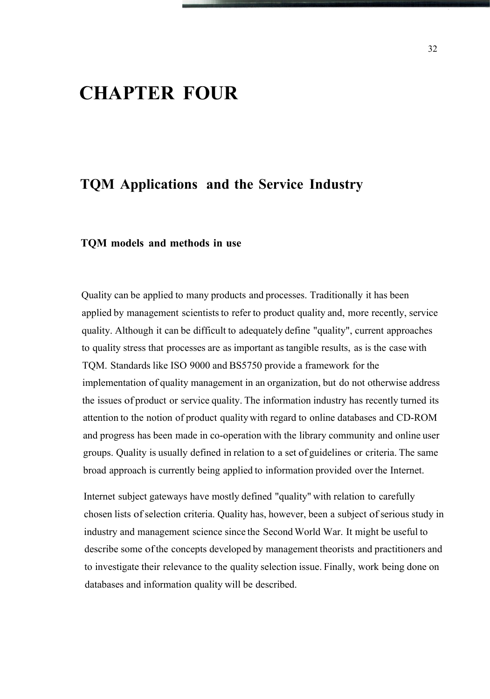## **CHAPTER FOUR**

### **TQM Applications and the Service Industry**

#### **TQM models and methods in use**

Quality can be applied to many products and processes. Traditionally it has been applied by management scientists to refer to product quality and, more recently, service quality. Although it can be difficult to adequately define "quality", current approaches to quality stress that processes are as important as tangible results, as is the case with TQM. Standards like ISO 9000 and BS5750 provide a framework for the implementation of quality management in an organization, but do not otherwise address the issues of product or service quality. The information industry has recently turned its attention to the notion of product quality with regard to online databases and CD-ROM and progress has been made in co-operation with the library community and online user groups. Quality is usually defined in relation to a set of guidelines or criteria. The same broad approach is currently being applied to information provided over the Internet.

Internet subject gateways have mostly defined "quality" with relation to carefully chosen lists of selection criteria. Quality has, however, been a subject of serious study in industry and management science since the Second World War. It might be useful to describe some ofthe concepts developed by management theorists and practitioners and to investigate their relevance to the quality selection issue. Finally, work being done on databases and information quality will be described.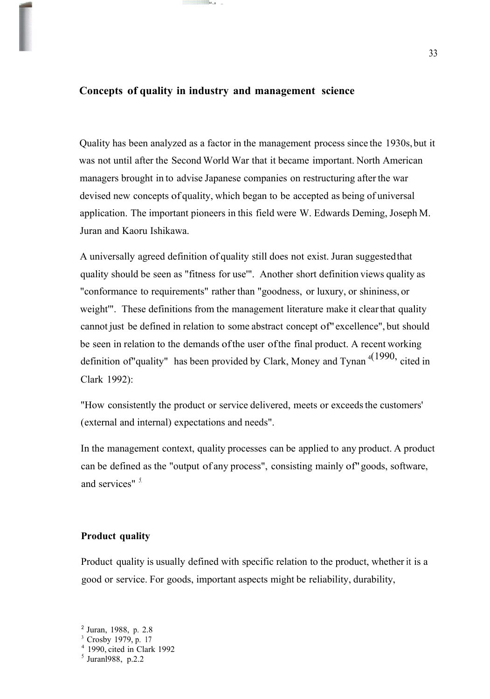#### **Concepts of quality in industry and management science**

 $\Box$ lii!,\_g

Quality has been analyzed as a factor in the management process since the 1930s,but it was not until after the Second World War that it became important. North American managers brought in to advise Japanese companies on restructuring after the war devised new concepts of quality, which began to be accepted as being of universal application. The important pioneers in this field were W. Edwards Deming, Joseph M. Juran and Kaoru Ishikawa.

A universally agreed definition of quality still does not exist. Juran suggestedthat quality should be seen as "fitness for use'". Another short definition views quality as "conformance to requirements" rather than "goodness, or luxury, or shininess, or weight". These definitions from the management literature make it clear that quality cannot just be defined in relation to some abstract concept of"excellence", but should be seen in relation to the demands ofthe user ofthe final product. A recent working definition of "quality" has been provided by Clark, Money and Tynan  $4(1990, \text{cited in})$ Clark 1992):

"How consistently the product or service delivered, meets or exceedsthe customers' (external and internal) expectations and needs".

In the management context, quality processes can be applied to any product. A product can be defined as the "output of any process", consisting mainly of"goods, software, and services" *5.*

#### **Product quality**

Product quality is usually defined with specific relation to the product, whether it is a good or service. For goods, important aspects might be reliability, durability,

<sup>2</sup> Juran, 1988, p. 2.8

<sup>&</sup>lt;sup>3</sup> Crosby 1979, p. 17

<sup>4</sup> 1990, cited in Clark 1992

<sup>&</sup>lt;sup>5</sup> Juranl988, p.2.2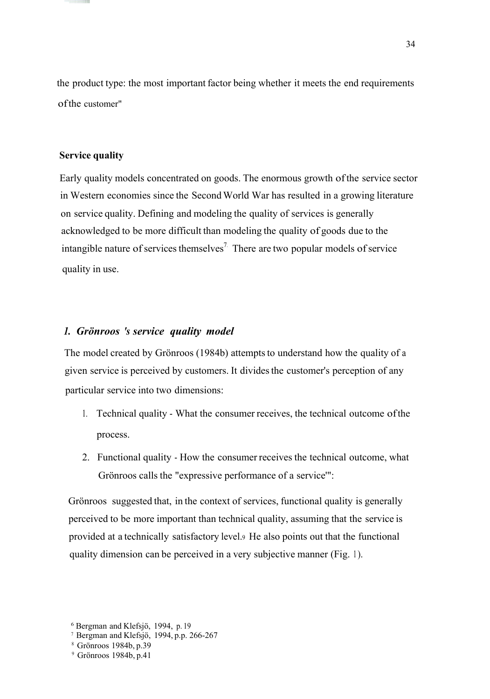the product type: the most important factor being whether it meets the end requirements ofthe customer"

#### **Service quality**

Early quality models concentrated on goods. The enormous growth ofthe service sector in Western economies since the Second World War has resulted in a growing literature on service quality. Defining and modeling the quality of services is generally acknowledged to be more difficult than modeling the quality of goods due to the intangible nature of services themselves<sup>7</sup>. There are two popular models of service quality in use.

#### *1. Grönroos 's service quality model*

The model created by Grönroos (1984b) attempts to understand how the quality of a given service is perceived by customers. It dividesthe customer's perception of any particular service into two dimensions:

- 1. Technical quality What the consumer receives, the technical outcome ofthe process.
- 2. Functional quality How the consumer receives the technical outcome, what Grönroos calls the "expressive performance of a service'":

Grönroos suggested that, in the context of services, functional quality is generally perceived to be more important than technical quality, assuming that the service is provided at a technically satisfactory level.<sup>9</sup> He also points out that the functional quality dimension can be perceived in a very subjective manner (Fig. 1).

<sup>6</sup> Bergman and Klefsjö, 1994, p. 19

<sup>7</sup> Bergman and Klefsjö, 1994, p.p. 266-267

<sup>8</sup> Grönroos 1984b, p.39

<sup>9</sup> Grönroos 1984b, p.41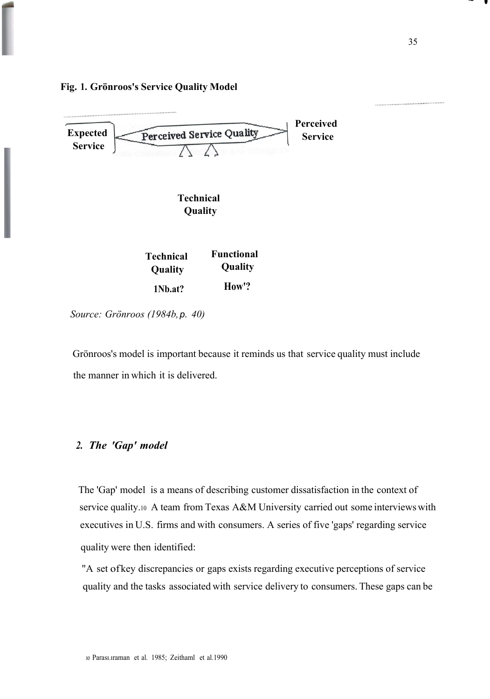

*Source: Grönroos (1984b,p. 40)*

**Fig. 1. Grönroos's Service Quality Model**

Grönroos's model is important because it reminds us that service quality must include the manner in which it is delivered.

#### *2. The 'Gap' model*

The 'Gap' model is a means of describing customer dissatisfaction in the context of service quality.<sup>10</sup> A team from Texas A&M University carried out some interviews with executives in U.S. firms and with consumers. A series of five 'gaps' regarding service quality were then identified:

"A set ofkey discrepancies or gaps exists regarding executive perceptions of service quality and the tasks associated with service delivery to consumers. These gaps can be

35

 $\sim$  .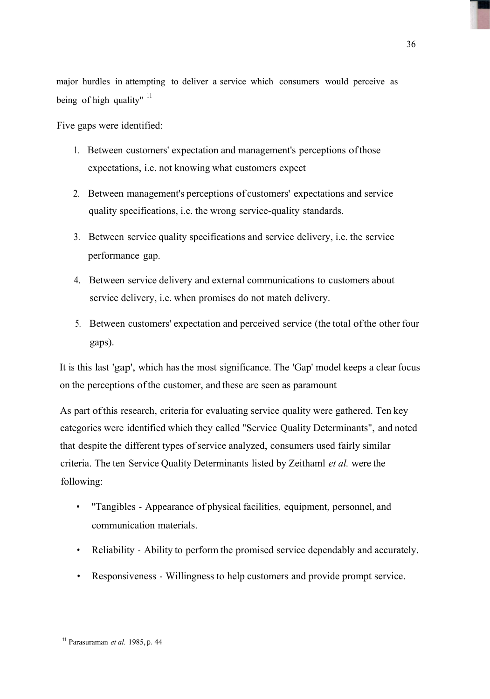major hurdles in attempting to deliver a service which consumers would perceive as being of high quality"  $11$ 

Five gaps were identified:

- 1. Between customers' expectation and management's perceptions ofthose expectations, i.e. not knowing what customers expect
- 2. Between management's perceptions of customers' expectations and service quality specifications, i.e. the wrong service-quality standards.
- 3. Between service quality specifications and service delivery, i.e. the service performance gap.
- 4. Between service delivery and external communications to customers about service delivery, i.e. when promises do not match delivery.
- 5. Between customers' expectation and perceived service (the total ofthe other four gaps).

It is this last 'gap', which hasthe most significance. The 'Gap' model keeps a clear focus on the perceptions ofthe customer, and these are seen as paramount

As part ofthis research, criteria for evaluating service quality were gathered. Ten key categories were identified which they called "Service Quality Determinants", and noted that despite the different types of service analyzed, consumers used fairly similar criteria. The ten Service Quality Determinants listed by Zeithaml *et al.* were the following:

- "Tangibles Appearance of physical facilities, equipment, personnel, and communication materials.
- Reliability Ability to perform the promised service dependably and accurately.
- Responsiveness Willingness to help customers and provide prompt service.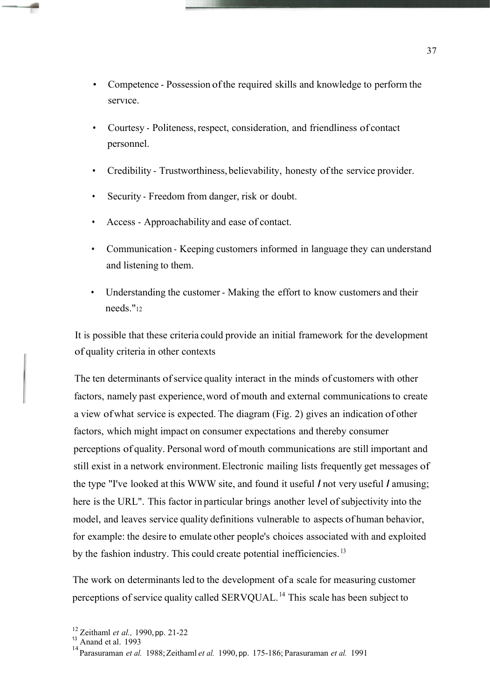- Competence Possession of the required skills and knowledge to perform the servıce.
- Courtesy Politeness, respect, consideration, and friendliness of contact personnel.
- Credibility Trustworthiness, believability, honesty ofthe service provider.
- Security Freedom from danger, risk or doubt.
- Access Approachability and ease of contact.
- Communication Keeping customers informed in language they can understand and listening to them.
- Understanding the customer Making the effort to know customers and their needs."<sup>12</sup>

It is possible that these criteria could provide an initial framework for the development of quality criteria in other contexts

The ten determinants of service quality interact in the minds of customers with other factors, namely past experience,word of mouth and external communications to create a view ofwhat service is expected. The diagram (Fig. 2) gives an indication of other factors, which might impact on consumer expectations and thereby consumer perceptions of quality. Personal word of mouth communications are still important and still exist in a network environment.Electronic mailing lists frequently get messages of the type "I've looked at this WWW site, and found it useful *I* not very useful *I* amusing; here is the URL". This factor in particular brings another level of subjectivity into the model, and leaves service quality definitions vulnerable to aspects of human behavior, for example: the desire to emulate other people's choices associated with and exploited by the fashion industry. This could create potential inefficiencies.<sup>13</sup>

The work on determinants led to the development of a scale for measuring customer perceptions of service quality called SERVQUAL.<sup>14</sup> This scale has been subject to

<sup>12</sup> Zeithaml *et al.,* 1990, pp. 21-22

 $^{13}$  Anand et al. 1993

<sup>14</sup>Parasuraman *et al.* 1988;Zeithaml *et al.* 1990, pp. 175-186;Parasuraman *et al.* <sup>1991</sup>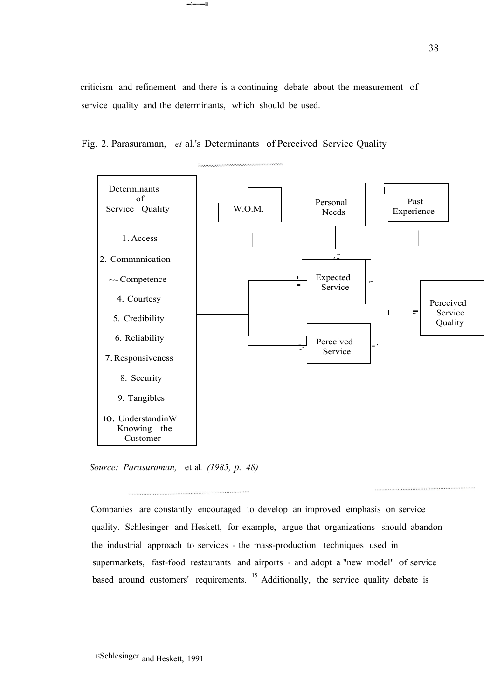criticism and refinement and there is a continuing debate about the measurement of service quality and the determinants, which should be used.

Fig. 2. Parasuraman, *et* al.'s Determinants of Perceived Service Quality

•••••••••••ii!I



*Source: Parasuraman,* et al. *(1985, p. 48)*

Companies are constantly encouraged to develop an improved emphasis on service quality. Schlesinger and Heskett, for example, argue that organizations should abandon the industrial approach to services - the mass-production techniques used in supermarkets, fast-food restaurants and airports - and adopt a "new model" of service based around customers' requirements. <sup>15</sup> Additionally, the service quality debate is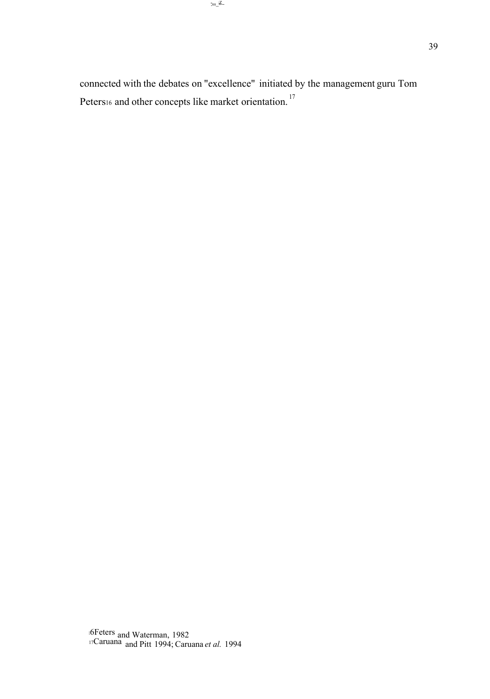connected with the debates on "excellence" initiated by the management guru Tom Peters<sup>17</sup> Peters<sup>16</sup> and other concepts like market orientation.<sup>17</sup>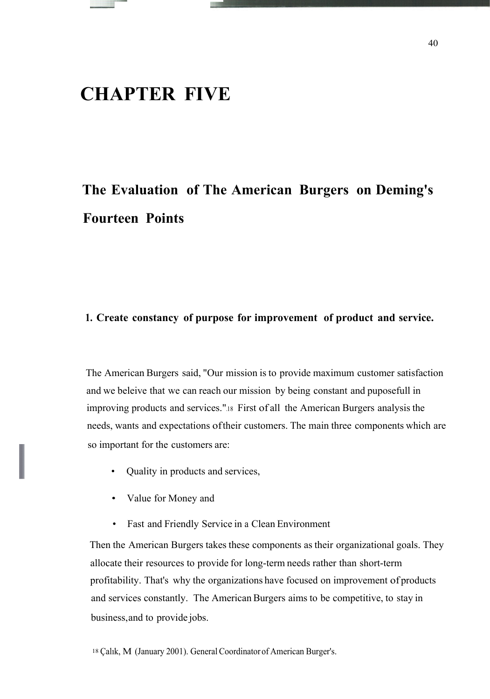### **CHAPTER FIVE**

## **The Evaluation of The American Burgers on Deming's Fourteen Points**

#### **1. Create constancy of purpose for improvement of product and service.**

The American Burgers said, "Our mission is to provide maximum customer satisfaction and we beleive that we can reach our mission by being constant and puposefull in improving products and services.".<sup>18</sup> First of all the American Burgers analysis the needs, wants and expectations oftheir customers. The main three components which are so important for the customers are:

- Quality in products and services,
- Value for Money and
- Fast and Friendly Service in a Clean Environment

Then the American Burgers takes these components as their organizational goals. They allocate their resources to provide for long-term needs rather than short-term profitability. That's why the organizations have focused on improvement of products and services constantly. The AmericanBurgers aims to be competitive, to stay in business,and to provide jobs.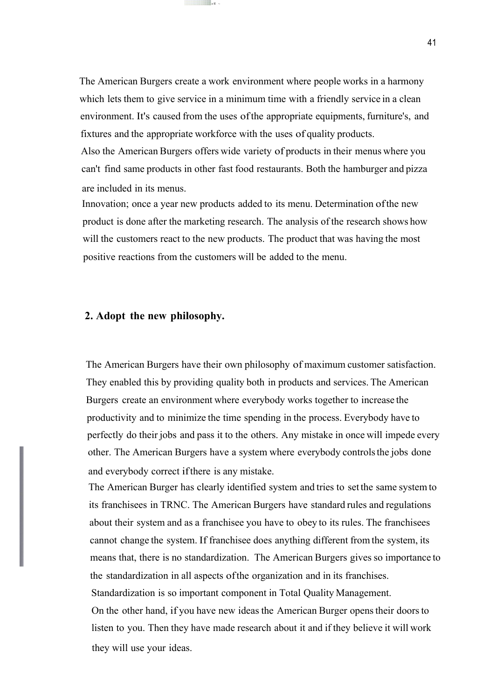The American Burgers create a work environment where people works in a harmony which lets them to give service in a minimum time with a friendly service in a clean environment. It's caused from the uses ofthe appropriate equipments, furniture's, and fixtures and the appropriate workforce with the uses of quality products. Also the American Burgers offers wide variety of products in their menus where you

ıı~M ~

can't find same products in other fast food restaurants. Both the hamburger and pizza are included in its menus.

Innovation; once a year new products added to its menu. Determination ofthe new product is done after the marketing research. The analysis of the research shows how will the customers react to the new products. The product that was having the most positive reactions from the customers will be added to the menu.

#### **2. Adopt the new philosophy.**

The American Burgers have their own philosophy of maximum customer satisfaction. They enabled this by providing quality both in products and services. The American Burgers create an environment where everybody works together to increase the productivity and to minimize the time spending in the process. Everybody have to perfectly do their jobs and pass it to the others. Any mistake in once will impede every other. The American Burgers have a system where everybody controlsthe jobs done and everybody correct ifthere is any mistake.

The American Burger has clearly identified system and tries to set the same system to its franchisees in TRNC. The American Burgers have standard rules and regulations about their system and as a franchisee you have to obey to its rules. The franchisees cannot change the system. If franchisee does anything different from the system, its means that, there is no standardization. The American Burgers gives so importance to the standardization in all aspects ofthe organization and in its franchises. Standardization is so important component in Total Quality Management. On the other hand, if you have new ideas the American Burger openstheir doorsto listen to you. Then they have made research about it and if they believe it will work they will use your ideas.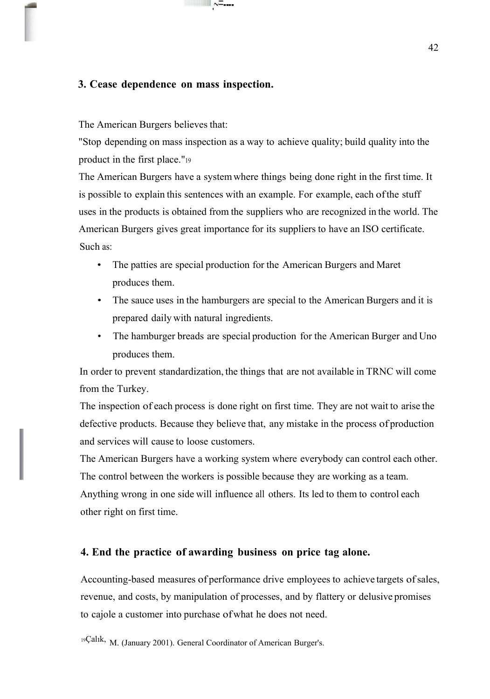#### **3. Cease dependence on mass inspection.**

The American Burgers believes that:

"Stop depending on mass inspection as a way to achieve quality; build quality into the product in the first place."<sup>19</sup>

.~=----

The American Burgers have a systemwhere things being done right in the first time. It is possible to explain this sentences with an example. For example, each ofthe stuff uses in the products is obtained from the suppliers who are recognized in the world. The American Burgers gives great importance for its suppliers to have an ISO certificate. Such as:

- The patties are special production for the American Burgers and Maret produces them.
- The sauce uses in the hamburgers are special to the American Burgers and it is prepared daily with natural ingredients.
- The hamburger breads are special production for the American Burger and Uno produces them.

In order to prevent standardization, the things that are not available in TRNC will come from the Turkey.

The inspection of each process is done right on first time. They are not wait to arise the defective products. Because they believe that, any mistake in the process of production and services will cause to loose customers.

The American Burgers have a working system where everybody can control each other. The control between the workers is possible because they are working as a team.

Anything wrong in one side will influence all others. Its led to them to control each other right on first time.

#### **4. End the practice of awarding business on price tag alone.**

Accounting-based measures of performance drive employees to achieve targets ofsales, revenue, and costs, by manipulation of processes, and by flattery or delusive promises to cajole a customer into purchase ofwhat he does not need.

<sup>19</sup>Çalık, M. (January 2001). General Coordinator of American Burger's.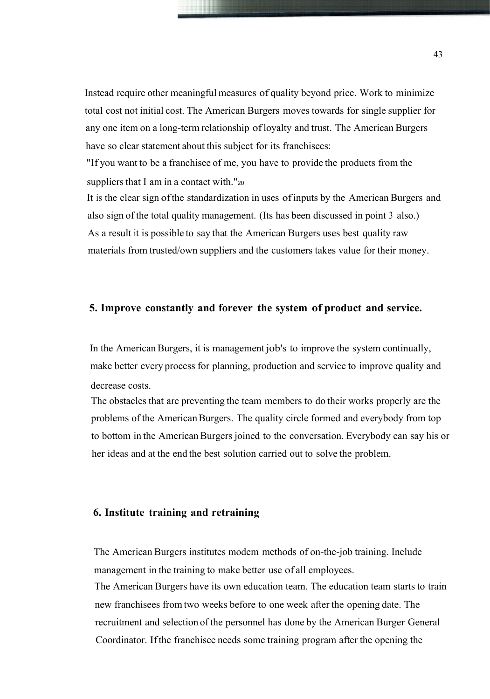Instead require other meaningful measures of quality beyond price. Work to minimize total cost not initial cost. The American Burgers moves towards for single supplier for any one item on a long-term relationship ofloyalty and trust. The American Burgers have so clear statement about this subject for its franchisees:

"If you want to be a franchisee of me, you have to provide the products from the suppliers that I am in a contact with."20

It is the clear sign ofthe standardization in uses ofinputs by the American Burgers and also sign of the total quality management. (Its has been discussed in point 3 also.) As a result it is possible to say that the American Burgers uses best quality raw materials from trusted/own suppliers and the customers takes value for their money.

#### **5. Improve constantly and forever the system of product and service.**

In the American Burgers, it is management job's to improve the system continually, make better every process for planning, production and service to improve quality and decrease costs.

The obstacles that are preventing the team members to do their works properly are the problems of the AmericanBurgers. The quality circle formed and everybody from top to bottom in the AmericanBurgers joined to the conversation. Everybody can say his or her ideas and at the end the best solution carried out to solve the problem.

#### **6. Institute training and retraining**

The American Burgers institutes modem methods of on-the-job training. Include management in the training to make better use of all employees. The American Burgers have its own education team. The education team starts to train new franchisees from two weeks before to one week after the opening date. The recruitment and selection of the personnel has done by the American Burger General Coordinator. Ifthe franchisee needs some training program after the opening the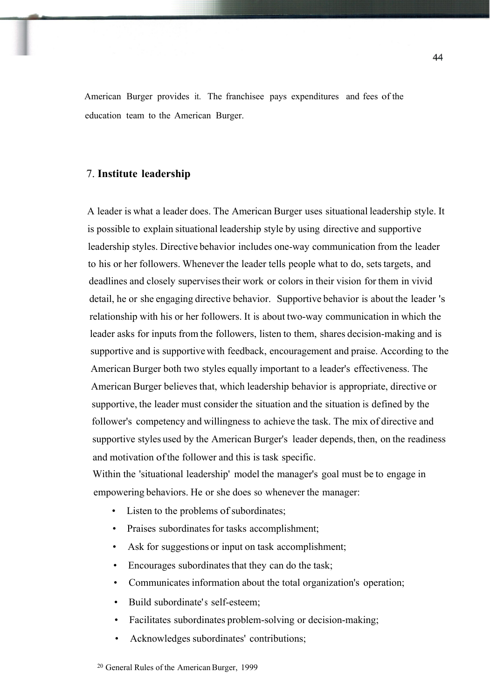American Burger provides it. The franchisee pays expenditures and fees of the education team to the American Burger.

#### 7. **Institute leadership**

A leader is what a leader does. The American Burger uses situational leadership style. It is possible to explain situational leadership style by using directive and supportive leadership styles. Directive behavior includes one-way communication from the leader to his or her followers. Whenever the leader tells people what to do, sets targets, and deadlines and closely supervisestheir work or colors in their vision for them in vivid detail, he or she engaging directive behavior. Supportive behavior is about the leader 's relationship with his or her followers. It is about two-way communication in which the leader asks for inputs from the followers, listen to them, shares decision-making and is supportive and is supportivewith feedback, encouragement and praise. According to the American Burger both two styles equally important to a leader's effectiveness. The American Burger believes that, which leadership behavior is appropriate, directive or supportive, the leader must consider the situation and the situation is defined by the follower's competency and willingness to achieve the task. The mix of directive and supportive styles used by the American Burger's leader depends, then, on the readiness and motivation ofthe follower and this is task specific.

Within the 'situational leadership' model the manager's goal must be to engage in empowering behaviors. He or she does so whenever the manager:

- Listen to the problems of subordinates;
- Praises subordinates for tasks accomplishment;
- Ask for suggestions or input on task accomplishment;
- Encourages subordinates that they can do the task;
- Communicates information about the total organization's operation;
- Build subordinate's self-esteem;
- Facilitates subordinates problem-solving or decision-making;
- Acknowledges subordinates' contributions;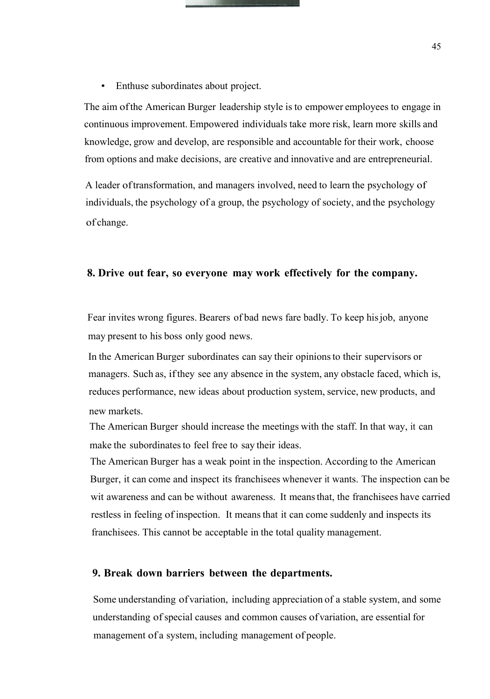• Enthuse subordinates about project.

The aim ofthe American Burger leadership style is to empower employees to engage in continuous improvement. Empowered individuals take more risk, learn more skills and knowledge, grow and develop, are responsible and accountable for their work, choose from options and make decisions, are creative and innovative and are entrepreneurial.

A leader oftransformation, and managers involved, need to learn the psychology of individuals, the psychology of a group, the psychology of society, and the psychology of change.

#### **8. Drive out fear, so everyone may work effectively for the company.**

Fear invites wrong figures. Bearers of bad news fare badly. To keep hisjob, anyone may present to his boss only good news.

In the American Burger subordinates can say their opinionsto their supervisors or managers. Such as, ifthey see any absence in the system, any obstacle faced, which is, reduces performance, new ideas about production system, service, new products, and new markets.

The American Burger should increase the meetings with the staff. In that way, it can make the subordinates to feel free to say their ideas.

The American Burger has a weak point in the inspection. According to the American Burger, it can come and inspect its franchisees whenever it wants. The inspection can be wit awareness and can be without awareness. It meansthat, the franchisees have carried restless in feeling of inspection. It meansthat it can come suddenly and inspects its franchisees. This cannot be acceptable in the total quality management.

#### **9. Break down barriers between the departments.**

Some understanding ofvariation, including appreciation of a stable system, and some understanding of special causes and common causes of variation, are essential for management of a system, including management of people.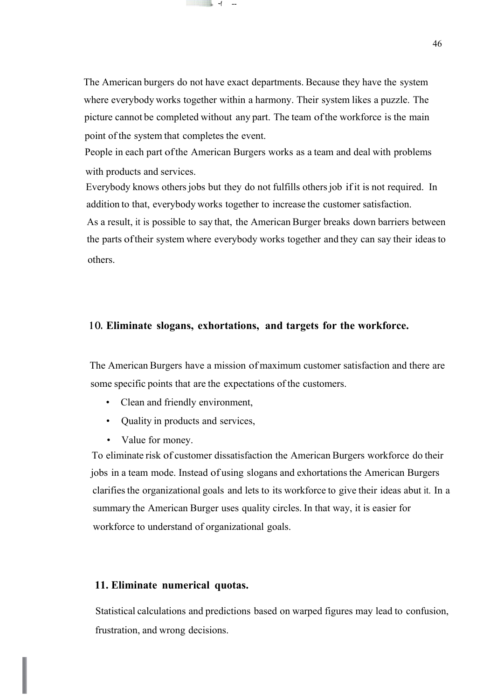The American burgers do not have exact departments. Because they have the system where everybody works together within a harmony. Their system likes a puzzle. The picture cannot be completed without any part. The team ofthe workforce is the main point of the system that completes the event.

 $\sim$ f

People in each part ofthe American Burgers works as a team and deal with problems with products and services.

Everybody knows others jobs but they do not fulfills others job if it is not required. In addition to that, everybody works together to increase the customer satisfaction.

As a result, it is possible to say that, the American Burger breaks down barriers between the parts oftheir system where everybody works together and they can say their ideasto others.

#### **1 O. Eliminate slogans, exhortations, and targets for the workforce.**

The American Burgers have a mission of maximum customer satisfaction and there are some specific points that are the expectations of the customers.

- Clean and friendly environment,
- Quality in products and services,
- Value for money.

To eliminate risk of customer dissatisfaction the American Burgers workforce do their jobs in a team mode. Instead of using slogans and exhortations the American Burgers clarifiesthe organizational goals and lets to its workforce to give their ideas abut it. In a summary the American Burger uses quality circles. In that way, it is easier for workforce to understand of organizational goals.

#### **11. Eliminate numerical quotas.**

Statistical calculations and predictions based on warped figures may lead to confusion, frustration, and wrong decisions.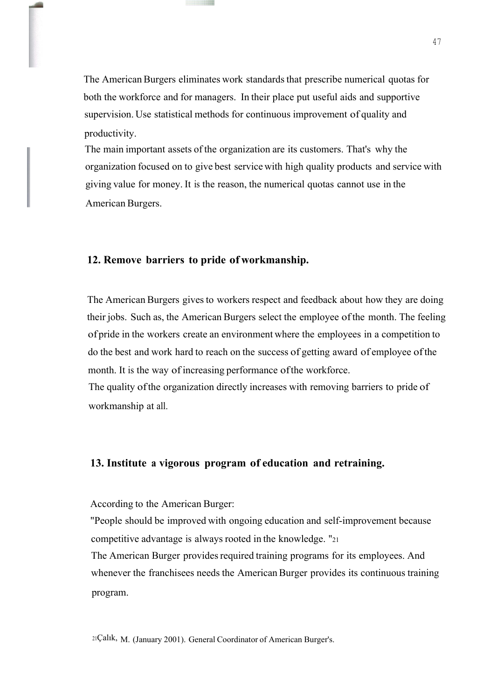The American Burgers eliminates work standards that prescribe numerical quotas for both the workforce and for managers. In their place put useful aids and supportive supervision. Use statistical methods for continuous improvement of quality and productivity.

The main important assets of the organization are its customers. That's why the organization focused on to give best service with high quality products and service with giving value for money. It is the reason, the numerical quotas cannot use in the American Burgers.

#### **12. Remove barriers to pride of workmanship.**

The American Burgers gives to workers respect and feedback about how they are doing their jobs. Such as, the American Burgers select the employee ofthe month. The feeling of pride in the workers create an environment where the employees in a competition to do the best and work hard to reach on the success of getting award of employee ofthe month. It is the way of increasing performance ofthe workforce.

The quality ofthe organization directly increases with removing barriers to pride of workmanship at all.

#### **13. Institute a vigorous program of education and retraining.**

According to the American Burger:

"People should be improved with ongoing education and self-improvement because competitive advantage is always rooted in the knowledge. "<sup>21</sup>

The American Burger provides required training programs for its employees. And whenever the franchisees needs the American Burger provides its continuous training program.

 $21$ Çalık, M. (January 2001). General Coordinator of American Burger's.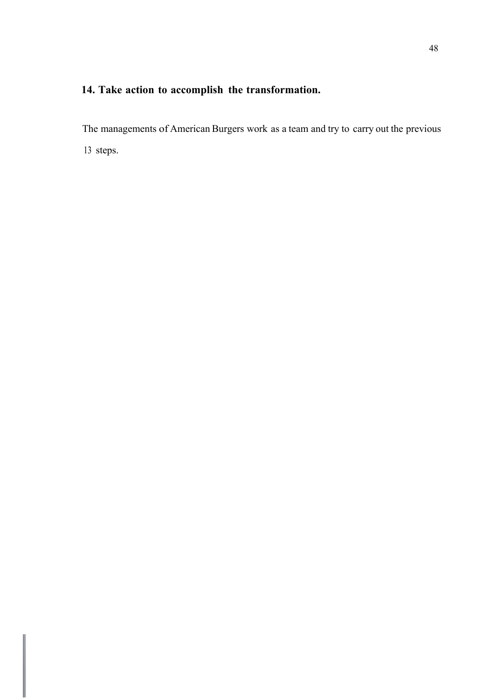### **14. Take action to accomplish the transformation.**

The managements of American Burgers work as a team and try to carry out the previous 13 steps.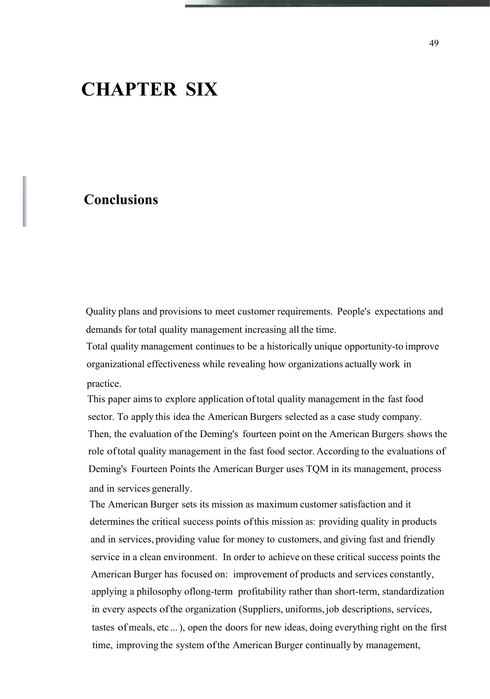## **CHAPTER SIX**

### **Conclusions**

Quality plans and provisions to meet customer requirements. People's expectations and demands for total quality management increasing all the time.

Total quality management continues to be a historically unique opportunity-to improve organizational effectiveness while revealing how organizations actually work in practice.

This paper aimsto explore application oftotal quality management in the fast food sector. To apply this idea the American Burgers selected as a case study company. Then, the evaluation of the Deming's fourteen point on the American Burgers shows the role oftotal quality management in the fast food sector. According to the evaluations of Deming's Fourteen Points the American Burger uses TQM in its management, process and in services generally.

The American Burger sets its mission as maximum customer satisfaction and it determines the critical success points ofthis mission as: providing quality in products and in services, providing value for money to customers, and giving fast and friendly service in a clean environment. In order to achieve on these critical success points the American Burger has focused on: improvement of products and services constantly, applying a philosophy oflong-term profitability rather than short-term, standardization in every aspects ofthe organization (Suppliers, uniforms, job descriptions, services, tastes of meals, etc ...), open the doors for new ideas, doing everything right on the first time, improving the system ofthe American Burger continually by management,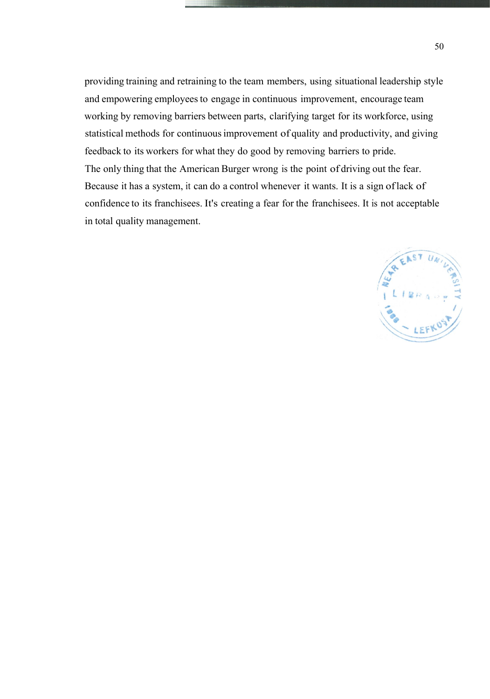providing training and retraining to the team members, using situational leadership style and empowering employees to engage in continuous improvement, encourage team working by removing barriers between parts, clarifying target for its workforce, using statistical methods for continuousimprovement of quality and productivity, and giving feedback to its workers for what they do good by removing barriers to pride. The only thing that the American Burger wrong is the point of driving out the fear. Because it has a system, it can do a control whenever it wants. It is a sign oflack of confidence to its franchisees. It's creating a fear for the franchisees. It is not acceptable in total quality management.

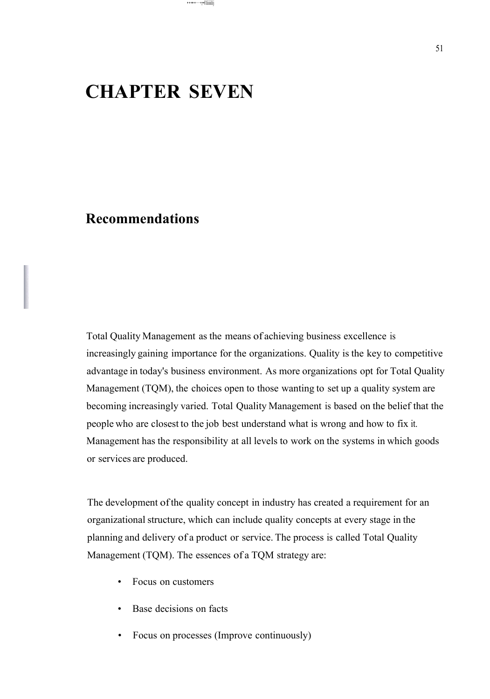## **CHAPTER SEVEN**

•·•·••·•·····•,••I\Iiiiiilij

### **Recommendations**

Total Quality Management as the means of achieving business excellence is increasingly gaining importance for the organizations. Quality is the key to competitive advantage in today's business environment. As more organizations opt for Total Quality Management (TQM), the choices open to those wanting to set up a quality system are becoming increasingly varied. Total Quality Management is based on the belief that the people who are closest to the job best understand what is wrong and how to fix it. Management has the responsibility at all levels to work on the systems in which goods or services are produced.

The development ofthe quality concept in industry has created a requirement for an organizational structure, which can include quality concepts at every stage in the planning and delivery of a product or service. The process is called Total Quality Management (TQM). The essences of a TQM strategy are:

- Focus on customers
- Base decisions on facts
- Focus on processes (Improve continuously)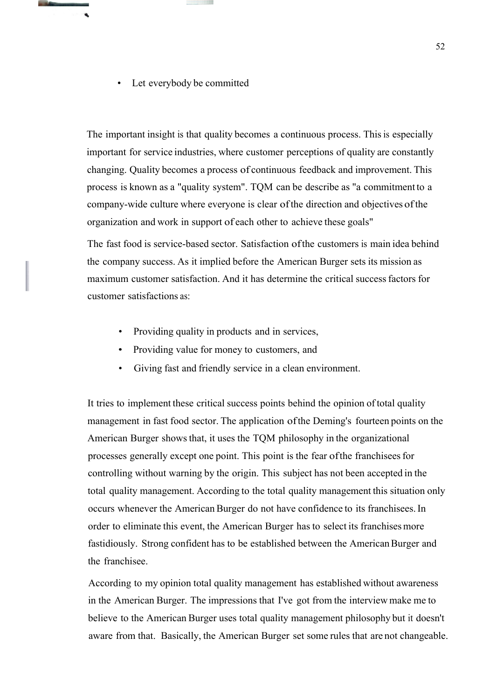Let everybody be committed

The important insight is that quality becomes a continuous process. This is especially important for service industries, where customer perceptions of quality are constantly changing. Quality becomes a process of continuous feedback and improvement. This process is known as a "quality system". TQM can be describe as "a commitment to a company-wide culture where everyone is clear ofthe direction and objectives ofthe organization and work in support of each other to achieve these goals"

The fast food is service-based sector. Satisfaction ofthe customers is main idea behind the company success. As it implied before the American Burger sets its mission as maximum customer satisfaction. And it has determine the critical successfactors for customer satisfactions as:

- Providing quality in products and in services,
- Providing value for money to customers, and
- Giving fast and friendly service in a clean environment.

It tries to implement these critical success points behind the opinion of total quality management in fast food sector. The application ofthe Deming's fourteen points on the American Burger showsthat, it uses the TQM philosophy in the organizational processes generally except one point. This point is the fear ofthe franchiseesfor controlling without warning by the origin. This subject has not been accepted in the total quality management. According to the total quality management this situation only occurs whenever the American Burger do not have confidence to its franchisees. In order to eliminate this event, the American Burger has to select its franchisesmore fastidiously. Strong confident has to be established between the American Burger and the franchisee.

According to my opinion total quality management has established without awareness in the American Burger. The impressions that I've got from the interview make me to believe to the American Burger uses total quality management philosophy but it doesn't aware from that. Basically, the American Burger set some rules that are not changeable.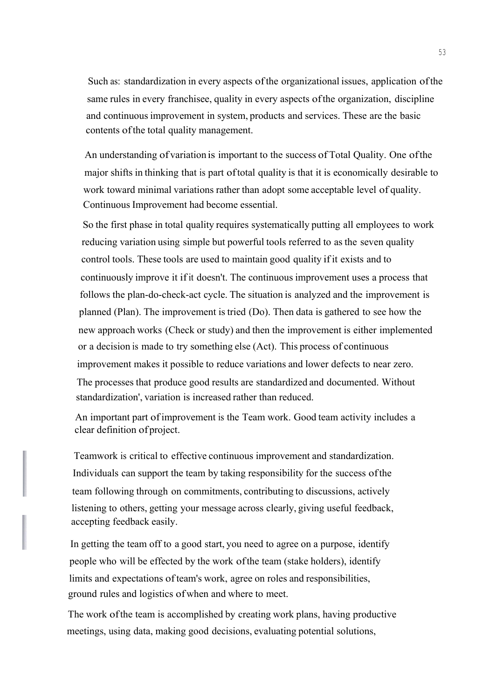Such as: standardization in every aspects ofthe organizational issues, application ofthe same rules in every franchisee, quality in every aspects ofthe organization, discipline and continuousimprovement in system, products and services. These are the basic contents of the total quality management.

An understanding of variation is important to the success of Total Quality. One ofthe major shifts in thinking that is part oftotal quality is that it is economically desirable to work toward minimal variations rather than adopt some acceptable level of quality. Continuous Improvement had become essential.

So the first phase in total quality requires systematically putting all employees to work reducing variation using simple but powerful tools referred to as the seven quality control tools. These tools are used to maintain good quality ifit exists and to continuously improve it ifit doesn't. The continuous improvement uses a process that follows the plan-do-check-act cycle. The situation is analyzed and the improvement is planned (Plan). The improvement istried (Do). Then data is gathered to see how the new approach works (Check or study) and then the improvement is either implemented or a decision is made to try something else (Act). This process of continuous improvement makes it possible to reduce variations and lower defects to near zero. The processes that produce good results are standardized and documented. Without standardization', variation is increased rather than reduced.

An important part ofimprovement is the Team work. Good team activity includes a clear definition ofproject.

Teamwork is critical to effective continuous improvement and standardization. Individuals can support the team by taking responsibility for the success ofthe team following through on commitments, contributing to discussions, actively listening to others, getting your message across clearly, giving useful feedback, accepting feedback easily.

In getting the team off to a good start, you need to agree on a purpose, identify people who will be effected by the work ofthe team (stake holders), identify limits and expectations of team's work, agree on roles and responsibilities, ground rules and logistics ofwhen and where to meet.

The work ofthe team is accomplished by creating work plans, having productive meetings, using data, making good decisions, evaluating potential solutions,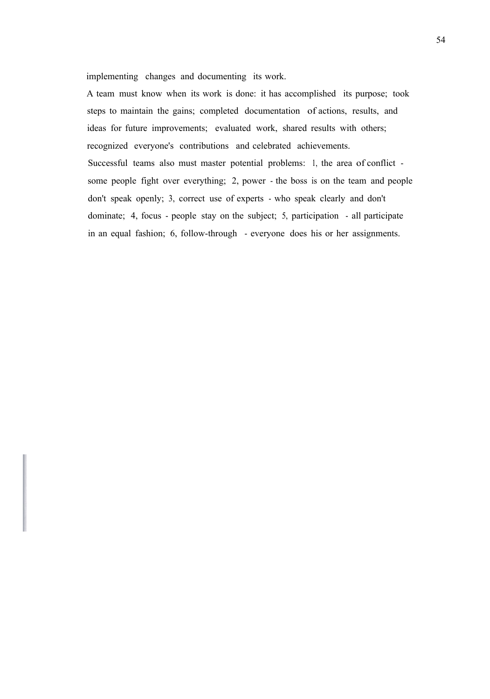implementing changes and documenting its work.

A team must know when its work is done: it has accomplished its purpose; took steps to maintain the gains; completed documentation of actions, results, and ideas for future improvements; evaluated work, shared results with others; recognized everyone's contributions and celebrated achievements. Successful teams also must master potential problems: 1, the area of conflict some people fight over everything; 2, power - the boss is on the team and people don't speak openly; 3, correct use of experts - who speak clearly and don't dominate; 4, focus - people stay on the subject; 5, participation - all participate in an equal fashion; 6, follow-through - everyone does his or her assignments.